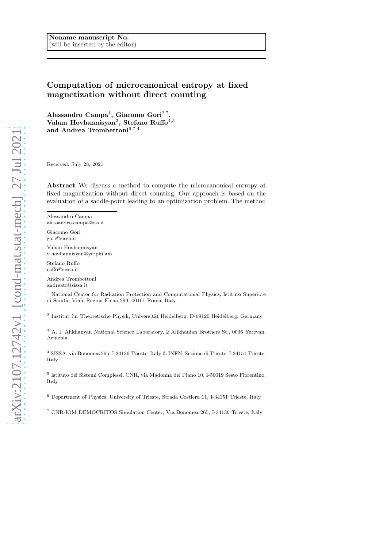# Computation of microcanonical entropy at fixed magnetization without direct counting

 $\Lambda$ lessandro Campa<sup>1</sup>, Giacomo Gori<sup>2,7</sup>, Vahan Hovhannisyan $^3,$  Stefano Ruffo $^{4,5}$ and Andrea Trombettoni<sup>6,7,4</sup>

Received: July 28, 2021

Abstract We discuss a method to compute the microcanonical entropy at fixed magnetization without direct counting. Our approach is based on the evaluation of a saddle-point leading to an optimization problem. The method

Alessandro Campa alessandro.campa@iss.it

Giacomo Gori gori@sissa.it

Vahan Hovhannisyan v.hovhannisyan@yerphi.am

Stefano Ruffo ruffo@sissa.it

Andrea Trombettoni andreatr@sissa.it

<sup>1</sup> National Center for Radiation Protection and Computational Physics, Istituto Superiore di Sanit`a, Viale Regina Elena 299, 00161 Roma, Italy

<sup>2</sup> Institut für Theoretische Physik, Universität Heidelberg, D-69120 Heidelberg, Germany

<sup>3</sup> A. I. Alikhanyan National Science Laboratory, 2 Alikhanian Brothers St., 0036 Yerevan, Armenia

 $^4$  SISSA, via Bonomea 265, I-34136 Trieste, Italy  $\&$  INFN, Sezione di Trieste, I-34151 Trieste, Italy

5 Istituto dei Sistemi Complessi, CNR, via Madonna del Piano 10, I-50019 Sesto Fiorentino, Italy

<sup>6</sup> Department of Physics, University of Trieste, Strada Costiera 11, I-34151 Trieste, Italy

<sup>7</sup> CNR-IOM DEMOCRITOS Simulation Center, Via Bonomea 265, I-34136 Trieste, Italy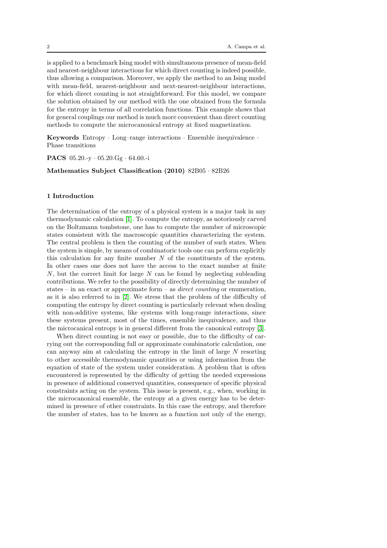is applied to a benchmark Ising model with simultaneous presence of mean-field and nearest-neighbour interactions for which direct counting is indeed possible, thus allowing a comparison. Moreover, we apply the method to an Ising model with mean-field, nearest-neighbour and next-nearest-neighbour interactions, for which direct counting is not straightforward. For this model, we compare the solution obtained by our method with the one obtained from the formula for the entropy in terms of all correlation functions. This example shows that for general couplings our method is much more convenient than direct counting methods to compute the microcanonical entropy at fixed magnetization.

Keywords Entropy · Long–range interactions · Ensemble inequivalence · Phase transitions

PACS 05.20.-y · 05.20.Gg · 64.60.-i

Mathematics Subject Classification (2010) 82B05 · 82B26

# 1 Introduction

The determination of the entropy of a physical system is a major task in any thermodynamic calculation [\[1\]](#page-39-0). To compute the entropy, as notoriously carved on the Boltzmann tombstone, one has to compute the number of microscopic states consistent with the macroscopic quantities characterizing the system. The central problem is then the counting of the number of such states. When the system is simple, by means of combinatoric tools one can perform explicitly this calculation for any finite number  $N$  of the constituents of the system. In other cases one does not have the access to the exact number at finite  $N$ , but the correct limit for large  $N$  can be found by neglecting subleading contributions. We refer to the possibility of directly determining the number of states – in an exact or approximate form – as *direct counting* or enumeration, as it is also referred to in [\[2\]](#page-39-1). We stress that the problem of the difficulty of computing the entropy by direct counting is particularly relevant when dealing with non-additive systems, like systems with long-range interactions, since these systems present, most of the times, ensemble inequivalence, and thus the microcanical entropy is in general different from the canonical entropy [\[3\]](#page-40-0).

When direct counting is not easy or possible, due to the difficulty of carrying out the corresponding full or approximate combinatoric calculation, one can anyway aim at calculating the entropy in the limit of large N resorting to other accessible thermodynamic quantities or using information from the equation of state of the system under consideration. A problem that is often encountered is represented by the difficulty of getting the needed expressions in presence of additional conserved quantities, consequence of specific physical constraints acting on the system. This issue is present, e.g., when, working in the microcanonical ensemble, the entropy at a given energy has to be determined in presence of other constraints. In this case the entropy, and therefore the number of states, has to be known as a function not only of the energy,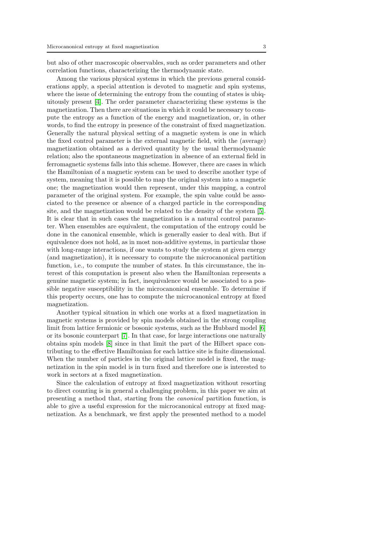but also of other macroscopic observables, such as order parameters and other correlation functions, characterizing the thermodynamic state.

Among the various physical systems in which the previous general considerations apply, a special attention is devoted to magnetic and spin systems, where the issue of determining the entropy from the counting of states is ubiquitously present [\[4\]](#page-40-1). The order parameter characterizing these systems is the magnetization. Then there are situations in which it could be necessary to compute the entropy as a function of the energy and magnetization, or, in other words, to find the entropy in presence of the constraint of fixed magnetization. Generally the natural physical setting of a magnetic system is one in which the fixed control parameter is the external magnetic field, with the (average) magnetization obtained as a derived quantity by the usual thermodynamic relation; also the spontaneous magnetization in absence of an external field in ferromagnetic systems falls into this scheme. However, there are cases in which the Hamiltonian of a magnetic system can be used to describe another type of system, meaning that it is possible to map the original system into a magnetic one; the magnetization would then represent, under this mapping, a control parameter of the original system. For example, the spin value could be associated to the presence or absence of a charged particle in the corresponding site, and the magnetization would be related to the density of the system [\[5\]](#page-40-2). It is clear that in such cases the magnetization is a natural control parameter. When ensembles are equivalent, the computation of the entropy could be done in the canonical ensemble, which is generally easier to deal with. But if equivalence does not hold, as in most non-additive systems, in particular those with long-range interactions, if one wants to study the system at given energy (and magnetization), it is necessary to compute the microcanonical partition function, i.e., to compute the number of states. In this circumstance, the interest of this computation is present also when the Hamiltonian represents a genuine magnetic system; in fact, inequivalence would be associated to a possible negative susceptibility in the microcanonical ensemble. To determine if this property occurs, one has to compute the microcanonical entropy at fixed magnetization.

Another typical situation in which one works at a fixed magnetization in magnetic systems is provided by spin models obtained in the strong coupling limit from lattice fermionic or bosonic systems, such as the Hubbard model [\[6\]](#page-40-3) or its bosonic counterpart [\[7\]](#page-40-4). In that case, for large interactions one naturally obtains spin models [\[8\]](#page-40-5) since in that limit the part of the Hilbert space contributing to the effective Hamiltonian for each lattice site is finite dimensional. When the number of particles in the original lattice model is fixed, the magnetization in the spin model is in turn fixed and therefore one is interested to work in sectors at a fixed magnetization.

Since the calculation of entropy at fixed magnetization without resorting to direct counting is in general a challenging problem, in this paper we aim at presenting a method that, starting from the canonical partition function, is able to give a useful expression for the microcanonical entropy at fixed magnetization. As a benchmark, we first apply the presented method to a model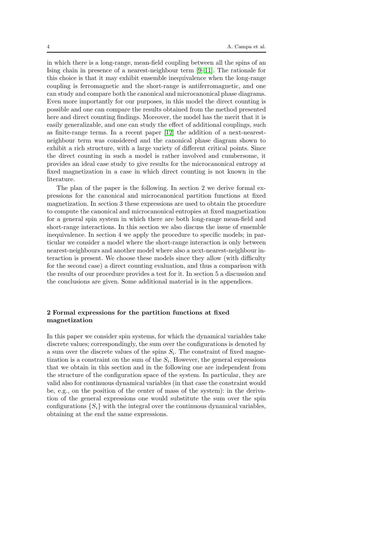in which there is a long-range, mean-field coupling between all the spins of an Ising chain in presence of a nearest-neighbour term [\[9–](#page-40-6)[11\]](#page-40-7). The rationale for this choice is that it may exhibit ensemble inequivalence when the long-range coupling is ferromagnetic and the short-range is antiferromagnetic, and one can study and compare both the canonical and microcanonical phase diagrams. Even more importantly for our purposes, in this model the direct counting is possible and one can compare the results obtained from the method presented here and direct counting findings. Moreover, the model has the merit that it is easily generalizable, and one can study the effect of additional couplings, such as finite-range terms. In a recent paper [\[12\]](#page-40-8) the addition of a next-nearestneighbour term was considered and the canonical phase diagram shown to exhibit a rich structure, with a large variety of different critical points. Since the direct counting in such a model is rather involved and cumbersome, it provides an ideal case study to give results for the microcanonical entropy at fixed magnetization in a case in which direct counting is not known in the literature.

The plan of the paper is the following. In section 2 we derive formal expressions for the canonical and microcanonical partition functions at fixed magnetization. In section 3 these expressions are used to obtain the procedure to compute the canonical and microcanonical entropies at fixed magnetization for a general spin system in which there are both long-range mean-field and short-range interactions. In this section we also discuss the issue of ensemble inequivalence. In section 4 we apply the procedure to specific models; in particular we consider a model where the short-range interaction is only between nearest-neighbours and another model where also a next-nearest-neighbour interaction is present. We choose these models since they allow (with difficulty for the second case) a direct counting evaluation, and thus a comparison with the results of our procedure provides a test for it. In section 5 a discussion and the conclusions are given. Some additional material is in the appendices.

# <span id="page-3-0"></span>2 Formal expressions for the partition functions at fixed magnetization

In this paper we consider spin systems, for which the dynamical variables take discrete values; correspondingly, the sum over the configurations is denoted by a sum over the discrete values of the spins  $S_i$ . The constraint of fixed magnetization is a constraint on the sum of the  $S_i$ . However, the general expressions that we obtain in this section and in the following one are independent from the structure of the configuration space of the system. In particular, they are valid also for continuous dynamical variables (in that case the constraint would be, e.g., on the position of the center of mass of the system): in the derivation of the general expressions one would substitute the sum over the spin configurations  $\{S_i\}$  with the integral over the continuous dynamical variables, obtaining at the end the same expressions.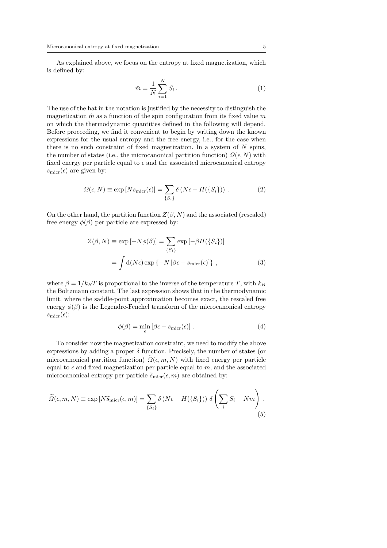As explained above, we focus on the entropy at fixed magnetization, which is defined by:

<span id="page-4-2"></span>
$$
\hat{m} = \frac{1}{N} \sum_{i=1}^{N} S_i \,. \tag{1}
$$

The use of the hat in the notation is justified by the necessity to distinguish the magnetization  $\hat{m}$  as a function of the spin configuration from its fixed value m on which the thermodynamic quantities defined in the following will depend. Before proceeding, we find it convenient to begin by writing down the known expressions for the usual entropy and the free energy, i.e., for the case when there is no such constraint of fixed magnetization. In a system of  $N$  spins, the number of states (i.e., the microcanonical partition function)  $\Omega(\epsilon, N)$  with fixed energy per particle equal to  $\epsilon$  and the associated microcanonical entropy  $s_{\text{micro}}(\epsilon)$  are given by:

$$
\Omega(\epsilon, N) \equiv \exp[N s_{\text{micro}}(\epsilon)] = \sum_{\{S_i\}} \delta\left(N \epsilon - H(\{S_i\})\right). \tag{2}
$$

On the other hand, the partition function  $Z(\beta, N)$  and the associated (rescaled) free energy  $\phi(\beta)$  per particle are expressed by:

$$
Z(\beta, N) \equiv \exp[-N\phi(\beta)] = \sum_{\{S_i\}} \exp[-\beta H(\{S_i\})]
$$

$$
= \int d(N\epsilon) \exp\{-N[\beta\epsilon - s_{\text{micro}}(\epsilon)]\}, \qquad (3)
$$

where  $\beta = 1/k_BT$  is proportional to the inverse of the temperature T, with  $k_B$ the Boltzmann constant. The last expression shows that in the thermodynamic limit, where the saddle-point approximation becomes exact, the rescaled free energy  $\phi(\beta)$  is the Legendre-Fenchel transform of the microcanonical entropy  $s_{\text{micro}}(\epsilon)$ :

<span id="page-4-0"></span>
$$
\phi(\beta) = \min_{\epsilon} \left[ \beta \epsilon - s_{\text{micro}}(\epsilon) \right]. \tag{4}
$$

To consider now the magnetization constraint, we need to modify the above expressions by adding a proper  $\delta$  function. Precisely, the number of states (or microcanonical partition function)  $\Omega(\epsilon, m, N)$  with fixed energy per particle equal to  $\epsilon$  and fixed magnetization per particle equal to m, and the associated microcanonical entropy per particle  $\widetilde{s}_{\text{micro}}(\epsilon, m)$  are obtained by:

<span id="page-4-1"></span>
$$
\widetilde{\Omega}(\epsilon, m, N) \equiv \exp\left[N\widetilde{s}_{\text{micro}}(\epsilon, m)\right] = \sum_{\{S_i\}} \delta\left(N\epsilon - H(\{S_i\})\right) \delta\left(\sum_i S_i - Nm\right). \tag{5}
$$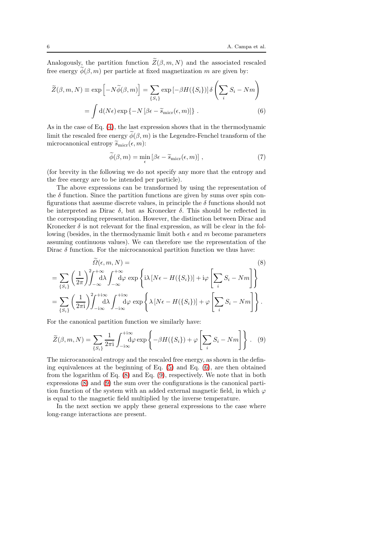Analogously, the partition function  $\widetilde{Z}(\beta, m, N)$  and the associated rescaled free energy  $\widetilde{\phi}(\beta, m)$  per particle at fixed magnetization m are given by:

<span id="page-5-0"></span>
$$
\widetilde{Z}(\beta, m, N) \equiv \exp\left[-N\widetilde{\phi}(\beta, m)\right] = \sum_{\{S_i\}} \exp\left[-\beta H(\{S_i\})\right] \delta\left(\sum_i S_i - Nm\right)
$$

$$
= \int d(N\epsilon) \exp\left\{-N\left[\beta\epsilon - \widetilde{s}_{\text{micro}}(\epsilon, m)\right]\right\}.
$$
 (6)

As in the case of Eq. [\(4\)](#page-4-0), the last expression shows that in the thermodynamic limit the rescaled free energy  $\widetilde{\phi}(\beta, m)$  is the Legendre-Fenchel transform of the microcanonical entropy  $\widetilde{s}_{\text{micro}}(\epsilon, m)$ :

<span id="page-5-3"></span>
$$
\tilde{\phi}(\beta, m) = \min_{\epsilon} \left[ \beta \epsilon - \tilde{s}_{\text{micro}}(\epsilon, m) \right], \tag{7}
$$

(for brevity in the following we do not specify any more that the entropy and the free energy are to be intended per particle).

The above expressions can be transformed by using the representation of the  $\delta$  function. Since the partition functions are given by sums over spin configurations that assume discrete values, in principle the  $\delta$  functions should not be interpreted as Dirac  $\delta$ , but as Kronecker  $\delta$ . This should be reflected in the corresponding representation. However, the distinction between Dirac and Kronecker  $\delta$  is not relevant for the final expression, as will be clear in the following (besides, in the thermodynamic limit both  $\epsilon$  and m become parameters assuming continuous values). We can therefore use the representation of the Dirac  $\delta$  function. For the microcanonical partition function we thus have:

<span id="page-5-1"></span>
$$
\widetilde{\Omega}(\epsilon, m, N) =
$$
\n
$$
= \sum_{\{S_i\}} \left(\frac{1}{2\pi}\right)^2 \int_{-\infty}^{+\infty} d\lambda \int_{-\infty}^{+\infty} d\varphi \exp\left\{i\lambda \left[N\epsilon - H(\{S_i\})\right] + i\varphi \left[\sum_i S_i - Nm\right]\right\}
$$
\n
$$
= \sum_{\{S_i\}} \left(\frac{1}{2\pi i}\right)^2 \int_{-i\infty}^{+\infty} d\lambda \int_{-i\infty}^{+\infty} d\varphi \exp\left\{\lambda \left[N\epsilon - H(\{S_i\})\right] + \varphi \left[\sum_i S_i - Nm\right]\right\}.
$$
\n(8)

For the canonical partition function we similarly have:

<span id="page-5-2"></span>
$$
\widetilde{Z}(\beta, m, N) = \sum_{\{S_i\}} \frac{1}{2\pi i} \int_{-i\infty}^{+i\infty} d\varphi \exp\left\{-\beta H(\{S_i\}) + \varphi \left[\sum_i S_i - Nm\right]\right\}.
$$
 (9)

The microcanonical entropy and the rescaled free energy, as shown in the defining equivalences at the beginning of Eq. [\(5\)](#page-4-1) and Eq. [\(6\)](#page-5-0), are then obtained from the logarithm of Eq. [\(8\)](#page-5-1) and Eq. [\(9\)](#page-5-2), respectively. We note that in both expressions [\(8\)](#page-5-1) and [\(9\)](#page-5-2) the sum over the configurations is the canonical partition function of the system with an added external magnetic field, in which  $\varphi$ is equal to the magnetic field multiplied by the inverse temperature.

In the next section we apply these general expressions to the case where long-range interactions are present.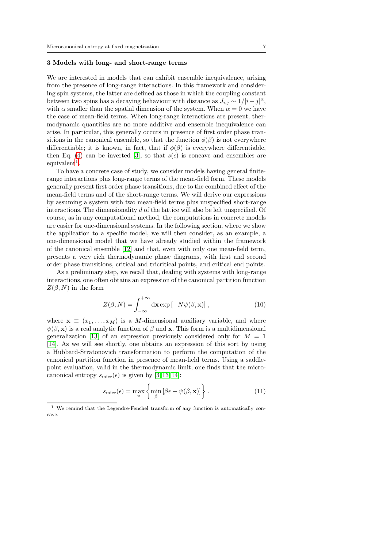# <span id="page-6-2"></span>3 Models with long- and short-range terms

We are interested in models that can exhibit ensemble inequivalence, arising from the presence of long-range interactions. In this framework and considering spin systems, the latter are defined as those in which the coupling constant between two spins has a decaying behaviour with distance as  $J_{i,j} \sim 1/|i-j|^{\alpha}$ , with  $\alpha$  smaller than the spatial dimension of the system. When  $\alpha = 0$  we have the case of mean-field terms. When long-range interactions are present, thermodynamic quantities are no more additive and ensemble inequivalence can arise. In particular, this generally occurs in presence of first order phase transitions in the canonical ensemble, so that the function  $\phi(\beta)$  is not everywhere differentiable; it is known, in fact, that if  $\phi(\beta)$  is everywhere differentiable, then Eq. [\(4\)](#page-4-0) can be inverted [\[3\]](#page-40-0), so that  $s(\epsilon)$  is concave and ensembles are  $_{\rm equivalent}^{1}$  $_{\rm equivalent}^{1}$  $_{\rm equivalent}^{1}$ .

To have a concrete case of study, we consider models having general finiterange interactions plus long-range terms of the mean-field form. These models generally present first order phase transitions, due to the combined effect of the mean-field terms and of the short-range terms. We will derive our expressions by assuming a system with two mean-field terms plus unspecified short-range interactions. The dimensionality d of the lattice will also be left unspecified. Of course, as in any computational method, the computations in concrete models are easier for one-dimensional systems. In the following section, where we show the application to a specific model, we will then consider, as an example, a one-dimensional model that we have already studied within the framework of the canonical ensemble [\[12\]](#page-40-8) and that, even with only one mean-field term, presents a very rich thermodynamic phase diagrams, with first and second order phase transitions, critical and tricritical points, and critical end points.

As a preliminary step, we recall that, dealing with systems with long-range interactions, one often obtains an expression of the canonical partition function  $Z(\beta, N)$  in the form

$$
Z(\beta, N) = \int_{-\infty}^{+\infty} d\mathbf{x} \exp[-N\psi(\beta, \mathbf{x})], \qquad (10)
$$

where  $\mathbf{x} \equiv (x_1, \ldots, x_M)$  is a M-dimensional auxiliary variable, and where  $\psi(\beta, \mathbf{x})$  is a real analytic function of  $\beta$  and **x**. This form is a multidimensional generalization [\[13\]](#page-40-9) of an expression previously considered only for  $M = 1$ [\[14\]](#page-40-10). As we will see shortly, one obtains an expression of this sort by using a Hubbard-Stratonovich transformation to perform the computation of the canonical partition function in presence of mean-field terms. Using a saddlepoint evaluation, valid in the thermodynamic limit, one finds that the microcanonical entropy  $s_{\text{micro}}(\epsilon)$  is given by [\[3,](#page-40-0) [13,](#page-40-9) [14\]](#page-40-10):

<span id="page-6-1"></span>
$$
s_{\text{micro}}(\epsilon) = \max_{\mathbf{x}} \left\{ \min_{\beta} \left[ \beta \epsilon - \psi(\beta, \mathbf{x}) \right] \right\}.
$$
 (11)

<span id="page-6-0"></span><sup>1</sup> We remind that the Legendre-Fenchel transform of any function is automatically concave.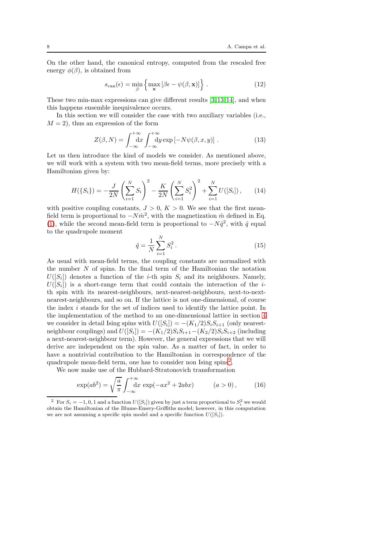On the other hand, the canonical entropy, computed from the rescaled free energy  $\phi(\beta)$ , is obtained from

<span id="page-7-1"></span>
$$
s_{\text{can}}(\epsilon) = \min_{\beta} \left\{ \max_{\mathbf{x}} \left[ \beta \epsilon - \psi(\beta, \mathbf{x}) \right] \right\}.
$$
 (12)

These two min-max expressions can give different results [\[3,](#page-40-0) [13,](#page-40-9) [14\]](#page-40-10), and when this happens ensemble inequivalence occurs.

In this section we will consider the case with two auxiliary variables (i.e.,  $M = 2$ , thus an expression of the form

$$
Z(\beta, N) = \int_{-\infty}^{+\infty} dx \int_{-\infty}^{+\infty} dy \exp[-N\psi(\beta, x, y)].
$$
 (13)

Let us then introduce the kind of models we consider. As mentioned above, we will work with a system with two mean-field terms, more precisely with a Hamiltonian given by:

<span id="page-7-2"></span>
$$
H(\{S_i\}) = -\frac{J}{2N} \left(\sum_{i=1}^N S_i\right)^2 - \frac{K}{2N} \left(\sum_{i=1}^N S_i^2\right)^2 + \sum_{i=1}^N U([S_i]),\qquad(14)
$$

with positive coupling constants,  $J > 0$ ,  $K > 0$ . We see that the first meanfield term is proportional to  $-N\hat{m}^2$ , with the magnetization  $\hat{m}$  defined in Eq. [\(1\)](#page-4-2), while the second mean-field term is proportional to  $-N\hat{q}^2$ , with  $\hat{q}$  equal to the quadrupole moment

<span id="page-7-4"></span>
$$
\hat{q} = \frac{1}{N} \sum_{i=1}^{N} S_i^2.
$$
\n(15)

As usual with mean-field terms, the coupling constants are normalized with the number N of spins. In the final term of the Hamiltonian the notation  $U([S_i])$  denotes a function of the *i*-th spin  $S_i$  and its neighbours. Namely,  $U([S_i])$  is a short-range term that could contain the interaction of the *i*th spin with its nearest-neighbours, next-nearest-neighbours, next-to-nextnearest-neighbours, and so on. If the lattice is not one-dimensional, of course the index i stands for the set of indices used to identify the lattice point. In the implementation of the method to an one-dimensional lattice in section [4](#page-24-0) we consider in detail Ising spins with  $U([S_i]) = -(K_1/2)S_iS_{i+1}$  (only nearestneighbour couplings) and  $U([S_i]) = -(K_1/2)S_iS_{i+1}-(K_2/2)S_iS_{i+2}$  (including a next-nearest-neighbour term). However, the general expressions that we will derive are independent on the spin value. As a matter of fact, in order to have a nontrivial contribution to the Hamiltonian in correspondence of the quadrupole mean-field term, one has to consider non Ising spins<sup>[2](#page-7-0)</sup>.

We now make use of the Hubbard-Stratonovich transformation

<span id="page-7-3"></span>
$$
\exp(ab^2) = \sqrt{\frac{a}{\pi}} \int_{-\infty}^{+\infty} dx \, \exp(-ax^2 + 2abx) \qquad (a > 0), \qquad (16)
$$

<span id="page-7-0"></span><sup>&</sup>lt;sup>2</sup> For  $S_i = -1, 0, 1$  and a function  $U([S_i])$  given by just a term proportional to  $S_i^2$  we would obtain the Hamiltonian of the Blume-Emery-Griffiths model; however, in this computation we are not assuming a specific spin model and a specific function  $U([S_i])$ .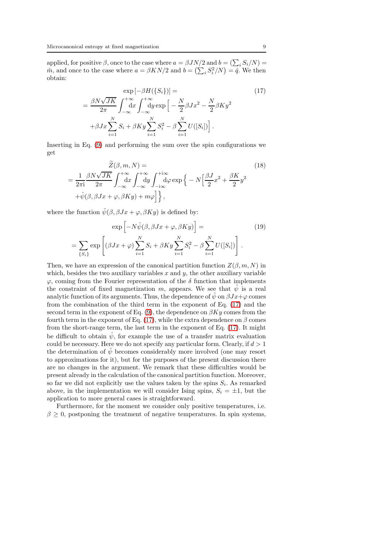applied, for positive  $\beta$ , once to the case where  $a = \beta J N/2$  and  $b = (\sum_i S_i/N)$  $\hat{m}$ , and once to the case where  $a = \beta KN/2$  and  $b = (\sum_i S_i^2/N) = \hat{q}$ . We then obtain:

<span id="page-8-0"></span>
$$
\exp\left[-\beta H(\{S_i\})\right] = \qquad (17)
$$
\n
$$
= \frac{\beta N \sqrt{JK}}{2\pi} \int_{-\infty}^{+\infty} dx \int_{-\infty}^{+\infty} dy \exp\left[-\frac{N}{2}\beta Jx^2 - \frac{N}{2}\beta Ky^2 + \beta Jx \sum_{i=1}^N S_i + \beta Ky \sum_{i=1}^N S_i^2 - \beta \sum_{i=1}^N U([S_i])\right].
$$

Inserting in Eq. [\(9\)](#page-5-2) and performing the sum over the spin configurations we get

<span id="page-8-1"></span>
$$
\widetilde{Z}(\beta, m, N) =
$$
\n
$$
= \frac{1}{2\pi i} \frac{\beta N \sqrt{JK}}{2\pi} \int_{-\infty}^{+\infty} dx \int_{-\infty}^{+\infty} dy \int_{-i\infty}^{+i\infty} d\varphi \exp\left\{-N\left[\frac{\beta J}{2}x^2 + \frac{\beta K}{2}y^2 + \hat{\psi}(\beta, \beta Jx + \varphi, \beta Ky) + m\varphi\right]\right\},
$$
\n(18)

where the function  $\hat{\psi}(\beta, \beta Jx + \varphi, \beta Ky)$  is defined by:

<span id="page-8-2"></span>
$$
\exp\left[-N\hat{\psi}(\beta,\beta Jx+\varphi,\beta Ky)\right] =
$$
\n
$$
= \sum_{\{S_i\}} \exp\left[ (\beta Jx+\varphi) \sum_{i=1}^N S_i + \beta Ky \sum_{i=1}^N S_i^2 - \beta \sum_{i=1}^N U([S_i]) \right].
$$
\n(19)

Then, we have an expression of the canonical partition function  $Z(\beta, m, N)$  in which, besides the two auxiliary variables  $x$  and  $y$ , the other auxiliary variable  $\varphi$ , coming from the Fourier representation of the  $\delta$  function that implements the constraint of fixed magnetization m, appears. We see that  $\hat{\psi}$  is a real analytic function of its arguments. Thus, the dependence of  $\hat{\psi}$  on  $\beta Jx+\varphi$  comes from the combination of the third term in the exponent of Eq. [\(17\)](#page-8-0) and the second term in the exponent of Eq. [\(9\)](#page-5-2), the dependence on  $\beta Ky$  comes from the fourth term in the exponent of Eq. [\(17\)](#page-8-0), while the extra dependence on  $\beta$  comes from the short-range term, the last term in the exponent of Eq. [\(17\)](#page-8-0). It might be difficult to obtain  $\hat{\psi}$ , for example the use of a transfer matrix evaluation could be necessary. Here we do not specify any particular form. Clearly, if  $d > 1$ the determination of  $\hat{\psi}$  becomes considerably more involved (one may resort to approximations for it), but for the purposes of the present discussion there are no changes in the argument. We remark that these difficulties would be present already in the calculation of the canonical partition function. Moreover, so far we did not explicitly use the values taken by the spins  $S_i$ . As remarked above, in the implementation we will consider Ising spins,  $S_i = \pm 1$ , but the application to more general cases is straightforward.

Furthermore, for the moment we consider only positive temperatures, i.e.  $\beta \geq 0$ , postponing the treatment of negative temperatures. In spin systems,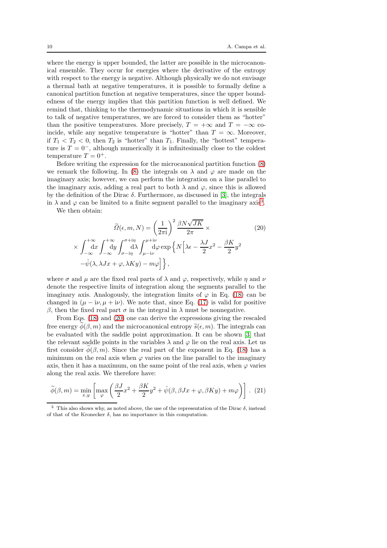where the energy is upper bounded, the latter are possible in the microcanonical ensemble. They occur for energies where the derivative of the entropy with respect to the energy is negative. Although physically we do not envisage a thermal bath at negative temperatures, it is possible to formally define a canonical partition function at negative temperatures, since the upper boundedness of the energy implies that this partition function is well defined. We remind that, thinking to the thermodynamic situations in which it is sensible to talk of negative temperatures, we are forced to consider them as "hotter" than the positive temperatures. More precisely,  $T = +\infty$  and  $T = -\infty$  coincide, while any negative temperature is "hotter" than  $T = \infty$ . Moreover, if  $T_1 < T_2 < 0$ , then  $T_2$  is "hotter" than  $T_1$ . Finally, the "hottest" temperature is  $T = 0^-$ , although numerically it is infinitesimally close to the coldest temperature  $T = 0^+$ .

Before writing the expression for the microcanonical partition function [\(8\)](#page-5-1) we remark the following. In [\(8\)](#page-5-1) the integrals on  $\lambda$  and  $\varphi$  are made on the imaginary axis; however, we can perform the integration on a line parallel to the imaginary axis, adding a real part to both  $\lambda$  and  $\varphi$ , since this is allowed by the definition of the Dirac  $\delta$ . Furthermore, as discussed in [\[3\]](#page-40-0), the integrals in  $\lambda$  and  $\varphi$  can be limited to a finite segment parallel to the imaginary axis<sup>[3](#page-9-0)</sup>.

We then obtain:

×

<span id="page-9-1"></span>
$$
\widetilde{\Omega}(\epsilon, m, N) = \left(\frac{1}{2\pi i}\right)^2 \frac{\beta N \sqrt{JK}}{2\pi} \times
$$
\n
$$
\int_{-\infty}^{+\infty} dx \int_{-\infty}^{+\infty} dy \int_{\sigma - i\eta}^{\sigma + i\eta} \int_{\mu - i\nu}^{\mu + i\nu} d\varphi \exp\left\{N\left[\lambda \epsilon - \frac{\lambda J}{2}x^2 - \frac{\beta K}{2}y^2 - \phi(\lambda, \lambda Jx + \varphi, \lambda Ky) - m\varphi\right]\right\},
$$
\n(20)

where  $\sigma$  and  $\mu$  are the fixed real parts of  $\lambda$  and  $\varphi$ , respectively, while  $\eta$  and  $\nu$ denote the respective limits of integration along the segments parallel to the imaginary axis. Analogously, the integration limits of  $\varphi$  in Eq. [\(18\)](#page-8-1) can be changed in  $(\mu - i\nu, \mu + i\nu)$ . We note that, since Eq. [\(17\)](#page-8-0) is valid for positive β, then the fixed real part  $\sigma$  in the integral in  $\lambda$  must be nonnegative.

From Eqs. [\(18\)](#page-8-1) and [\(20\)](#page-9-1) one can derive the expressions giving the rescaled free energy  $\phi(\beta, m)$  and the microcanonical entropy  $\tilde{s}(\epsilon, m)$ . The integrals can be evaluated with the saddle point approximation. It can be shown [\[3\]](#page-40-0) that the relevant saddle points in the variables  $\lambda$  and  $\varphi$  lie on the real axis. Let us first consider  $\phi(\beta, m)$ . Since the real part of the exponent in Eq. [\(18\)](#page-8-1) has a minimum on the real axis when  $\varphi$  varies on the line parallel to the imaginary axis, then it has a maximum, on the same point of the real axis, when  $\varphi$  varies along the real axis. We therefore have:

<span id="page-9-2"></span>
$$
\widetilde{\phi}(\beta, m) = \min_{x, y} \left[ \max_{\varphi} \left( \frac{\beta J}{2} x^2 + \frac{\beta K}{2} y^2 + \hat{\psi}(\beta, \beta J x + \varphi, \beta K y) + m \varphi \right) \right].
$$
 (21)

<span id="page-9-0"></span><sup>&</sup>lt;sup>3</sup> This also shows why, as noted above, the use of the representation of the Dirac  $\delta$ , instead of that of the Kronecker  $\delta$ , has no importance in this computation.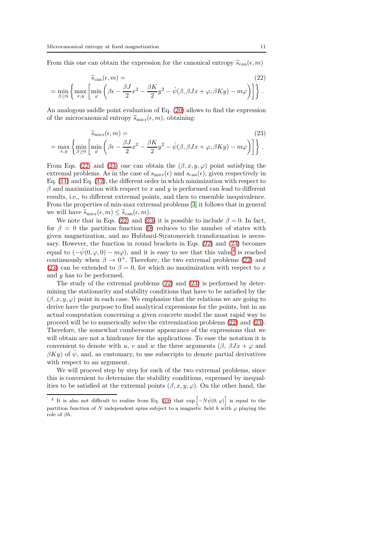From this one can obtain the expression for the canonical entropy  $\tilde{s}_{\text{can}}(\epsilon, m)$ 

<span id="page-10-0"></span>
$$
\widetilde{s}_{\text{can}}(\epsilon, m) =
$$
\n
$$
= \min_{\beta \ge 0} \left\{ \max_{x,y} \left[ \min_{\varphi} \left( \beta \epsilon - \frac{\beta J}{2} x^2 - \frac{\beta K}{2} y^2 - \hat{\psi}(\beta, \beta J x + \varphi, \beta K y) - m \varphi \right) \right] \right\}.
$$
\n(22)

An analogous saddle point evaluation of Eq. [\(20\)](#page-9-1) allows to find the expression of the microcanonical entropy  $\tilde{s}_{\text{micro}}(\epsilon, m)$ , obtaining:

<span id="page-10-1"></span>
$$
\widetilde{s}_{\text{micro}}(\epsilon, m) =
$$
\n
$$
= \max_{x,y} \left\{ \min_{\beta \ge 0} \left[ \min_{\varphi} \left( \beta \epsilon - \frac{\beta J}{2} x^2 - \frac{\beta K}{2} y^2 - \hat{\psi}(\beta, \beta J x + \varphi, \beta K y) - m \varphi \right) \right] \right\}.
$$
\n(23)

From Eqs. [\(22\)](#page-10-0) and [\(23\)](#page-10-1) one can obtain the  $(\beta, x, y, \varphi)$  point satisfying the extremal problems. As in the case of  $s_{\text{micro}}(\epsilon)$  and  $s_{\text{can}}(\epsilon)$ , given respectively in Eq. [\(11\)](#page-6-1) and Eq. [\(12\)](#page-7-1), the different order in which minimization with respect to  $\beta$  and maximization with respect to x and y is performed can lead to different results, i.e., to different extremal points, and then to ensemble inequivalence. From the properties of min-max extremal problems [\[3\]](#page-40-0) it follows that in general we will have  $\widetilde{s}_{\text{micro}}(\epsilon, m) \leq \widetilde{s}_{\text{can}}(\epsilon, m)$ .

We note that in Eqs. [\(22\)](#page-10-0) and [\(23\)](#page-10-1) it is possible to include  $\beta = 0$ . In fact, for  $\beta = 0$  the partition function [\(9\)](#page-5-2) reduces to the number of states with given magnetization, and no Hubbard-Stratonovich transformation is necessary. However, the function in round brackets in Eqs. [\(22\)](#page-10-0) and [\(23\)](#page-10-1) becomes equal to  $(-\hat{\psi}(0,\varphi,0) - m\varphi)$ , and it is easy to see that this value<sup>[4](#page-10-2)</sup> is reached continuously when  $\beta \to 0^+$ . Therefore, the two extremal problems [\(22\)](#page-10-0) and [\(23\)](#page-10-1) can be extended to  $\beta = 0$ , for which no maximization with respect to x and y has to be performed.

The study of the extremal problems [\(22\)](#page-10-0) and [\(23\)](#page-10-1) is performed by determining the stationarity and stability conditions that have to be satisfied by the  $(\beta, x, y, \varphi)$  point in each case. We emphasize that the relations we are going to derive have the purpose to find analytical expressions for the points, but in an actual computation concerning a given concrete model the most rapid way to proceed will be to numerically solve the extremization problems [\(22\)](#page-10-0) and [\(23\)](#page-10-1). Therefore, the somewhat cumbersome appearance of the expressions that we will obtain are not a hindrance for the applications. To ease the notation it is convenient to denote with u, v and w the three arguments  $(\beta, \beta Jx + \varphi)$  and  $\beta Ky$ ) of  $\hat{\psi}$ , and, as customary, to use subscripts to denote partial derivatives with respect to an argument.

We will proceed step by step for each of the two extremal problems, since this is convenient to determine the stability conditions, expressed by inequalities to be satisfied at the extremal points  $(\beta, x, y, \varphi)$ . On the other hand, the

<span id="page-10-2"></span><sup>&</sup>lt;sup>4</sup> It is also not difficult to realize from Eq. [\(19\)](#page-8-2) that  $\exp[-N\hat{\psi}(0,\varphi)]$  is equal to the partition function of N independent spins subject to a magnetic field h with  $\varphi$  playing the role of βh.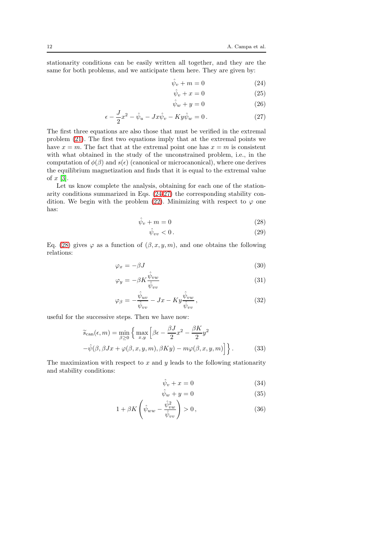stationarity conditions can be easily written all together, and they are the same for both problems, and we anticipate them here. They are given by:

<span id="page-11-0"></span>
$$
\hat{\psi}_v + m = 0 \tag{24}
$$

$$
\hat{\psi}_v + x = 0 \tag{25}
$$

$$
\hat{\psi}_w + y = 0 \tag{26}
$$

$$
\epsilon - \frac{J}{2}x^2 - \hat{\psi}_u - Jx\hat{\psi}_v - Ky\hat{\psi}_w = 0.
$$
 (27)

The first three equations are also those that must be verified in the extremal problem [\(21\)](#page-9-2). The first two equations imply that at the extremal points we have  $x = m$ . The fact that at the extremal point one has  $x = m$  is consistent with what obtained in the study of the unconstrained problem, i.e., in the computation of  $\phi(\beta)$  and  $s(\epsilon)$  (canonical or microcanonical), where one derives the equilibrium magnetization and finds that it is equal to the extremal value of  $x$  [\[3\]](#page-40-0).

Let us know complete the analysis, obtaining for each one of the stationarity conditions summarized in Eqs. [\(24-27\)](#page-11-0) the corresponding stability con-dition. We begin with the problem [\(22\)](#page-10-0). Minimizing with respect to  $\varphi$  one has:

<span id="page-11-1"></span>
$$
\hat{\psi}_v + m = 0 \tag{28}
$$

$$
\hat{\psi}_{vv} < 0 \tag{29}
$$

Eq. [\(28\)](#page-11-1) gives  $\varphi$  as a function of  $(\beta, x, y, m)$ , and one obtains the following relations:

<span id="page-11-2"></span>
$$
\varphi_x = -\beta J \tag{30}
$$

$$
\varphi_y = -\beta K \frac{\hat{\psi}_{vw}}{\hat{\psi}_{vv}} \tag{31}
$$

$$
\varphi_{\beta} = -\frac{\hat{\psi}_{uv}}{\hat{\psi}_{vv}} - Jx - Ky \frac{\hat{\psi}_{vw}}{\hat{\psi}_{vv}},
$$
\n(32)

useful for the successive steps. Then we have now:

$$
\widetilde{s}_{\text{can}}(\epsilon, m) = \min_{\beta \ge 0} \left\{ \max_{x, y} \left[ \beta \epsilon - \frac{\beta J}{2} x^2 - \frac{\beta K}{2} y^2 - \hat{\psi}(\beta, \beta Jx + \varphi(\beta, x, y, m), \beta K y) - m\varphi(\beta, x, y, m) \right] \right\}.
$$
\n(33)

The maximization with respect to  $x$  and  $y$  leads to the following stationarity and stability conditions:

<span id="page-11-3"></span>
$$
\hat{\psi}_v + x = 0 \tag{34}
$$

$$
\hat{\psi}_w + y = 0 \tag{35}
$$

$$
1 + \beta K \left(\hat{\psi}_{ww} - \frac{\hat{\psi}_{vw}^2}{\hat{\psi}_{vv}}\right) > 0, \qquad (36)
$$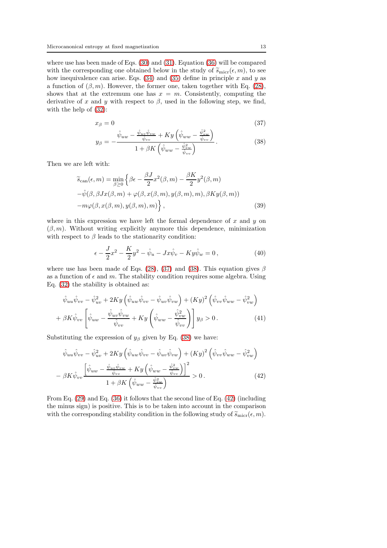where use has been made of Eqs. [\(30\)](#page-11-2) and [\(31\)](#page-11-2). Equation [\(36\)](#page-11-3) will be compared with the corresponding one obtained below in the study of  $\tilde{s}_{\text{micro}}(\epsilon, m)$ , to see how inequivalence can arise. Eqs.  $(34)$  and  $(35)$  define in principle x and y as a function of  $(\beta, m)$ . However, the former one, taken together with Eq. [\(28\)](#page-11-1), shows that at the extremum one has  $x = m$ . Consistently, computing the derivative of x and y with respect to  $\beta$ , used in the following step, we find, with the help of [\(32\)](#page-11-2):

<span id="page-12-0"></span>
$$
x_{\beta} = 0 \tag{37}
$$

$$
y_{\beta} = -\frac{\hat{\psi}_{uw} - \frac{\hat{\psi}_{uv}\hat{\psi}_{vw}}{\hat{\psi}_{vv}} + Ky\left(\hat{\psi}_{ww} - \frac{\hat{\psi}_{vw}^2}{\hat{\psi}_{vv}}\right)}{1 + \beta K\left(\hat{\psi}_{ww} - \frac{\hat{\psi}_{vw}^2}{\hat{\psi}_{vv}}\right)}.
$$
(38)

Then we are left with:

$$
\widetilde{s}_{\text{can}}(\epsilon, m) = \min_{\beta \ge 0} \left\{ \beta \epsilon - \frac{\beta J}{2} x^2 (\beta, m) - \frac{\beta K}{2} y^2 (\beta, m) - \hat{\psi}(\beta, \beta J x(\beta, m) + \varphi(\beta, x(\beta, m), y(\beta, m), m), \beta K y(\beta, m)) - m \varphi(\beta, x(\beta, m), y(\beta, m), m) \right\},
$$
\n(39)

where in this expression we have left the formal dependence of  $x$  and  $y$  on  $(\beta, m)$ . Without writing explicitly anymore this dependence, minimization with respect to  $\beta$  leads to the stationarity condition:

$$
\epsilon - \frac{J}{2}x^2 - \frac{K}{2}y^2 - \hat{\psi}_u - Jx\hat{\psi}_v - Ky\hat{\psi}_w = 0, \qquad (40)
$$

where use has been made of Eqs. [\(28\)](#page-11-1), [\(37\)](#page-12-0) and [\(38\)](#page-12-0). This equation gives  $\beta$ as a function of  $\epsilon$  and m. The stability condition requires some algebra. Using Eq. [\(32\)](#page-11-2) the stability is obtained as:

$$
\hat{\psi}_{uu}\hat{\psi}_{vv} - \hat{\psi}_{uv}^2 + 2Ky\left(\hat{\psi}_{uw}\hat{\psi}_{vv} - \hat{\psi}_{uv}\hat{\psi}_{vw}\right) + (Ky)^2\left(\hat{\psi}_{vv}\hat{\psi}_{ww} - \hat{\psi}_{vw}^2\right) + \beta K \hat{\psi}_{vv}\left[\hat{\psi}_{uw} - \frac{\hat{\psi}_{uv}\hat{\psi}_{vw}}{\hat{\psi}_{vv}} + Ky\left(\hat{\psi}_{ww} - \frac{\hat{\psi}_{vw}^2}{\hat{\psi}_{vv}}\right)\right]y_\beta > 0.
$$
\n(41)

Substituting the expression of  $y_\beta$  given by Eq. [\(38\)](#page-12-0) we have:

<span id="page-12-1"></span>
$$
\hat{\psi}_{uu}\hat{\psi}_{vv} - \hat{\psi}_{uv}^2 + 2Ky\left(\hat{\psi}_{uw}\hat{\psi}_{vv} - \hat{\psi}_{uv}\hat{\psi}_{vw}\right) + (Ky)^2\left(\hat{\psi}_{vv}\hat{\psi}_{ww} - \hat{\psi}_{vw}^2\right) \n- \beta K\hat{\psi}_{vv}\left[\frac{\hat{\psi}_{uw} - \frac{\hat{\psi}_{uv}\hat{\psi}_{vw}}{\hat{\psi}_{vv}} + Ky\left(\hat{\psi}_{ww} - \frac{\hat{\psi}_{vw}^2}{\hat{\psi}_{vv}}\right)\right]^2}{1 + \beta K\left(\hat{\psi}_{ww} - \frac{\hat{\psi}_{vw}^2}{\hat{\psi}_{vv}}\right)} > 0.
$$
\n(42)

From Eq. [\(29\)](#page-11-1) and Eq. [\(36\)](#page-11-3) it follows that the second line of Eq. [\(42\)](#page-12-1) (including the minus sign) is positive. This is to be taken into account in the comparison with the corresponding stability condition in the following study of  $\widetilde{s}_{\text{micro}}(\epsilon, m)$ .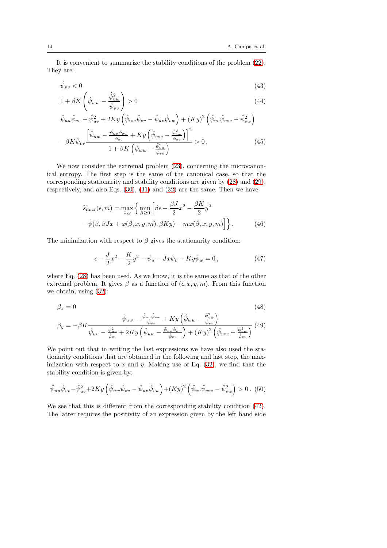It is convenient to summarize the stability conditions of the problem [\(22\)](#page-10-0). They are:

$$
\hat{\psi}_{vv} < 0 \tag{43}
$$

$$
1 + \beta K \left(\hat{\psi}_{ww} - \frac{\hat{\psi}_{vw}^2}{\hat{\psi}_{vv}}\right) > 0 \tag{44}
$$

$$
\hat{\psi}_{uu}\hat{\psi}_{vv} - \hat{\psi}_{uv}^2 + 2Ky\left(\hat{\psi}_{uw}\hat{\psi}_{vv} - \hat{\psi}_{uv}\hat{\psi}_{vw}\right) + (Ky)^2\left(\hat{\psi}_{vv}\hat{\psi}_{ww} - \hat{\psi}_{vw}^2\right) \n- \beta K \hat{\psi}_{vv} \frac{\left[\hat{\psi}_{uw} - \frac{\hat{\psi}_{uv}\hat{\psi}_{vw}}{\hat{\psi}_{vv}} + Ky\left(\hat{\psi}_{ww} - \frac{\hat{\psi}_{vw}^2}{\hat{\psi}_{vv}}\right)\right]^2}{1 + \beta K\left(\hat{\psi}_{ww} - \frac{\hat{\psi}_{vw}^2}{\hat{\psi}_{vv}}\right)} > 0.
$$
\n(45)

We now consider the extremal problem  $(23)$ , concerning the microcanonical entropy. The first step is the same of the canonical case, so that the corresponding stationarity and stability conditions are given by [\(28\)](#page-11-1) and [\(29\)](#page-11-1), respectively, and also Eqs. [\(30\)](#page-11-2), [\(31\)](#page-11-2) and [\(32\)](#page-11-2) are the same. Then we have:

$$
\widetilde{s}_{\text{micro}}(\epsilon, m) = \max_{x, y} \left\{ \min_{\beta \ge 0} \left[ \beta \epsilon - \frac{\beta J}{2} x^2 - \frac{\beta K}{2} y^2 - \hat{\psi}(\beta, \beta Jx + \varphi(\beta, x, y, m), \beta Ky) - m\varphi(\beta, x, y, m) \right] \right\}.
$$
\n(46)

The minimization with respect to  $\beta$  gives the stationarity condition:

$$
\epsilon - \frac{J}{2}x^2 - \frac{K}{2}y^2 - \hat{\psi}_u - Jx\hat{\psi}_v - Ky\hat{\psi}_w = 0, \qquad (47)
$$

where Eq. [\(28\)](#page-11-1) has been used. As we know, it is the same as that of the other extremal problem. It gives  $\beta$  as a function of  $(\epsilon, x, y, m)$ . From this function we obtain, using [\(32\)](#page-11-2):

<span id="page-13-1"></span>
$$
\beta_x = 0 \tag{48}
$$

$$
\beta_y = -\beta K \frac{\hat{\psi}_{uv} - \frac{\hat{\psi}_{uv}\hat{\psi}_{vw}}{\hat{\psi}_{vv}} + Ky\left(\hat{\psi}_{ww} - \frac{\hat{\psi}_{vw}^2}{\hat{\psi}_{vv}}\right)}{\hat{\psi}_{uu} - \frac{\hat{\psi}_{uv}^2}{\hat{\psi}_{vv}} + 2Ky\left(\hat{\psi}_{uw} - \frac{\hat{\psi}_{uv}\hat{\psi}_{vw}}{\hat{\psi}_{vv}}\right) + (Ky)^2\left(\hat{\psi}_{ww} - \frac{\hat{\psi}_{vw}^2}{\hat{\psi}_{vv}}\right)} (49)
$$

We point out that in writing the last expressions we have also used the stationarity conditions that are obtained in the following and last step, the maximization with respect to x and y. Making use of Eq.  $(32)$ , we find that the stability condition is given by:

<span id="page-13-0"></span>
$$
\hat{\psi}_{uu}\hat{\psi}_{vv} - \hat{\psi}_{uv}^2 + 2Ky\left(\hat{\psi}_{uw}\hat{\psi}_{vv} - \hat{\psi}_{uv}\hat{\psi}_{vw}\right) + (Ky)^2\left(\hat{\psi}_{vv}\hat{\psi}_{ww} - \hat{\psi}_{vw}^2\right) > 0. \tag{50}
$$

We see that this is different from the corresponding stability condition [\(42\)](#page-12-1). The latter requires the positivity of an expression given by the left hand side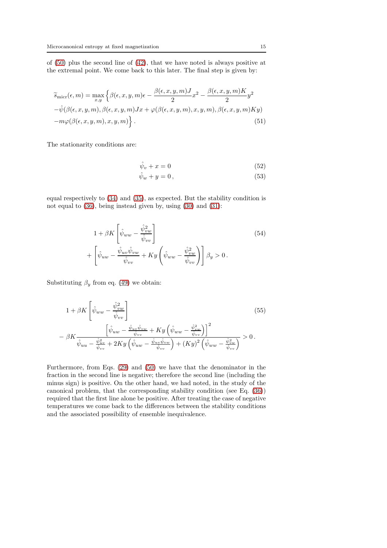of [\(50\)](#page-13-0) plus the second line of [\(42\)](#page-12-1), that we have noted is always positive at the extremal point. We come back to this later. The final step is given by:

$$
\widetilde{s}_{\text{micro}}(\epsilon, m) = \max_{x, y} \left\{ \beta(\epsilon, x, y, m)\epsilon - \frac{\beta(\epsilon, x, y, m)J}{2} x^2 - \frac{\beta(\epsilon, x, y, m)K}{2} y^2 - \hat{\psi}(\beta(\epsilon, x, y, m), \beta(\epsilon, x, y, m)Jx + \varphi(\beta(\epsilon, x, y, m), x, y, m), \beta(\epsilon, x, y, m)Ky) - m\varphi(\beta(\epsilon, x, y, m), x, y, m) \right\}.
$$
\n(51)

The stationarity conditions are:

$$
\hat{\psi}_v + x = 0 \tag{52}
$$

$$
\hat{\psi}_w + y = 0, \qquad (53)
$$

equal respectively to [\(34\)](#page-11-3) and [\(35\)](#page-11-3), as expected. But the stability condition is not equal to [\(36\)](#page-11-3), being instead given by, using [\(30\)](#page-11-2) and [\(31\)](#page-11-2):

$$
1 + \beta K \left[ \hat{\psi}_{ww} - \frac{\hat{\psi}_{vw}^2}{\hat{\psi}_{vv}} \right] + \left[ \hat{\psi}_{uw} - \frac{\hat{\psi}_{uv}\hat{\psi}_{vw}}{\hat{\psi}_{vv}} + Ky \left( \hat{\psi}_{ww} - \frac{\hat{\psi}_{vw}^2}{\hat{\psi}_{vv}} \right) \right] \beta_y > 0.
$$
\n(54)

Substituting  $\beta_y$  from eq. [\(49\)](#page-13-1) we obtain:

$$
1 + \beta K \left[ \hat{\psi}_{ww} - \frac{\hat{\psi}_{vw}^2}{\hat{\psi}_{vv}} \right]
$$
\n
$$
- \beta K \frac{\left[ \hat{\psi}_{uw} - \frac{\hat{\psi}_{uv}\hat{\psi}_{vw}}{\hat{\psi}_{vv}} + Ky \left( \hat{\psi}_{ww} - \frac{\hat{\psi}_{vw}^2}{\hat{\psi}_{vv}} \right) \right]^2}{\hat{\psi}_{uu} - \frac{\hat{\psi}_{uv}^2}{\hat{\psi}_{vv}} + 2Ky \left( \hat{\psi}_{uw} - \frac{\hat{\psi}_{uv}\hat{\psi}_{vw}}{\hat{\psi}_{vv}} \right) + (Ky)^2 \left( \hat{\psi}_{ww} - \frac{\hat{\psi}_{vw}^2}{\hat{\psi}_{vv}} \right)} > 0.
$$
\n(55)

Furthermore, from Eqs. [\(29\)](#page-11-1) and [\(50\)](#page-13-0) we have that the denominator in the fraction in the second line is negative; therefore the second line (including the minus sign) is positive. On the other hand, we had noted, in the study of the canonical problem, that the corresponding stability condition (see Eq. [\(36\)](#page-11-3)) required that the first line alone be positive. After treating the case of negative temperatures we come back to the differences between the stability conditions and the associated possibility of ensemble inequivalence.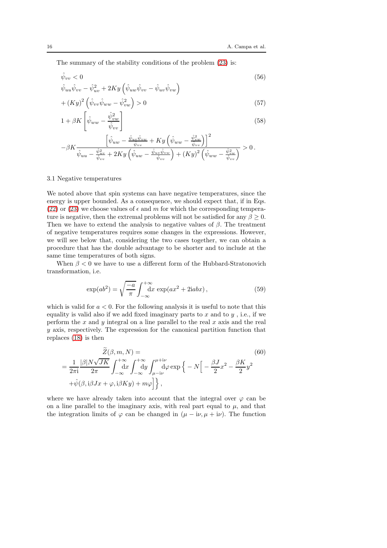The summary of the stability conditions of the problem [\(23\)](#page-10-1) is:

$$
\hat{\psi}_{vv} < 0 \tag{56}
$$
\n
$$
\hat{\psi}_{uu}\hat{\psi}_{vv} - \hat{\psi}_{uv}^2 + 2Ky\left(\hat{\psi}_{uw}\hat{\psi}_{vv} - \hat{\psi}_{uv}\hat{\psi}_{vw}\right)
$$

$$
+(Ky)^{2}\left(\hat{\psi}_{vv}\hat{\psi}_{ww}-\hat{\psi}_{vw}^{2}\right)>0
$$
\n(57)

$$
1 + \beta K \left[ \hat{\psi}_{ww} - \frac{\hat{\psi}_{vw}^2}{\hat{\psi}_{vv}} \right]
$$
 (58)

$$
-\beta K \frac{\left[\hat{\psi}_{uw} - \frac{\hat{\psi}_{uv}\hat{\psi}_{vw}}{\hat{\psi}_{vv}} + Ky\left(\hat{\psi}_{ww} - \frac{\hat{\psi}_{vw}^2}{\hat{\psi}_{vv}}\right)\right]^2}{\hat{\psi}_{uu} - \frac{\hat{\psi}_{uv}^2}{\hat{\psi}_{vv}} + 2Ky\left(\hat{\psi}_{uw} - \frac{\hat{\psi}_{uv}\hat{\psi}_{vw}}{\hat{\psi}_{vv}}\right) + (Ky)^2\left(\hat{\psi}_{ww} - \frac{\hat{\psi}_{vw}^2}{\hat{\psi}_{vv}}\right)} > 0.
$$

#### 3.1 Negative temperatures

We noted above that spin systems can have negative temperatures, since the energy is upper bounded. As a consequence, we should expect that, if in Eqs. [\(22\)](#page-10-0) or [\(23\)](#page-10-1) we choose values of  $\epsilon$  and m for which the corresponding temperature is negative, then the extremal problems will not be satisfied for any  $\beta \geq 0$ . Then we have to extend the analysis to negative values of  $\beta$ . The treatment of negative temperatures requires some changes in the expressions. However, we will see below that, considering the two cases together, we can obtain a procedure that has the double advantage to be shorter and to include at the same time temperatures of both signs.

When  $\beta < 0$  we have to use a different form of the Hubbard-Stratonovich transformation, i.e.

<span id="page-15-0"></span>
$$
\exp(ab^2) = \sqrt{\frac{-a}{\pi}} \int_{-\infty}^{+\infty} dx \, \exp(ax^2 + 2iabx) \,, \tag{59}
$$

which is valid for  $a < 0$ . For the following analysis it is useful to note that this equality is valid also if we add fixed imaginary parts to  $x$  and to  $y$ , i.e., if we perform the  $x$  and  $y$  integral on a line parallel to the real  $x$  axis and the real  $y$  axis, respectively. The expression for the canonical partition function that replaces [\(18\)](#page-8-1) is then

$$
\widetilde{Z}(\beta, m, N) =
$$
\n
$$
= \frac{1}{2\pi i} \frac{|\beta| N \sqrt{JK}}{2\pi} \int_{-\infty}^{+\infty} dx \int_{-\infty}^{+\infty} dy \int_{\mu - i\nu}^{\mu + i\nu} d\varphi \exp\left\{-N\left[-\frac{\beta J}{2}x^2 - \frac{\beta K}{2}y^2 + \hat{\psi}(\beta, i\beta Jx + \varphi, i\beta Ky) + m\varphi\right]\right\},
$$
\n(60)

where we have already taken into account that the integral over  $\varphi$  can be on a line parallel to the imaginary axis, with real part equal to  $\mu$ , and that the integration limits of  $\varphi$  can be changed in  $(\mu - i\nu, \mu + i\nu)$ . The function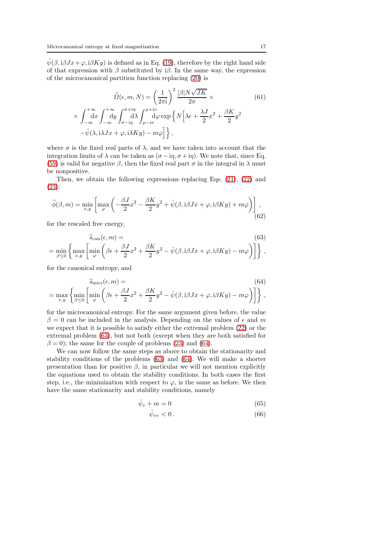$\hat{\psi}(\beta, i\beta Jx+\varphi, i\beta Ky)$  is defined as in Eq. [\(19\)](#page-8-2), therefore by the right hand side of that expression with  $\beta$  substituted by i $\beta$ . In the same way, the expression of the microcanonical partition function replacing [\(20\)](#page-9-1) is

$$
\widetilde{\Omega}(\epsilon, m, N) = \left(\frac{1}{2\pi i}\right)^2 \frac{|\beta| N \sqrt{JK}}{2\pi} \times
$$
\n
$$
\times \int_{-\infty}^{+\infty} dx \int_{-\infty}^{+\infty} dy \int_{\sigma - i\eta}^{\sigma + i\eta} d\lambda \int_{\mu - i\nu}^{\mu + i\nu} d\varphi \exp\left\{ N \left[ \lambda \epsilon + \frac{\lambda J}{2} x^2 + \frac{\beta K}{2} y^2 - \hat{\psi}(\lambda, i\lambda Jx + \varphi, i\lambda Ky) - m\varphi \right] \right\}, \tag{61}
$$

where  $\sigma$  is the fixed real parts of  $\lambda$ , and we have taken into account that the integration limits of  $\lambda$  can be taken as  $(\sigma - i\eta, \sigma + i\eta)$ . We note that, since Eq. [\(59\)](#page-15-0) is valid for negative  $\beta$ , then the fixed real part  $\sigma$  in the integral in  $\lambda$  must be nonpositive.

Then, we obtain the following expressions replacing Eqs. [\(21\)](#page-9-2), [\(22\)](#page-10-0) and [\(23\)](#page-10-1):

$$
\widetilde{\phi}(\beta, m) = \min_{x, y} \left[ \max_{\varphi} \left( -\frac{\beta J}{2} x^2 - \frac{\beta K}{2} y^2 + \hat{\psi}(\beta, \mathbf{i}\beta Jx + \varphi, \mathbf{i}\beta Ky) + m\varphi \right) \right],
$$
\n(62)

for the rescaled free energy,

<span id="page-16-0"></span>
$$
\widetilde{s}_{\text{can}}(\epsilon, m) =
$$
\n
$$
= \min_{\beta \le 0} \left\{ \max_{x,y} \left[ \min_{\varphi} \left( \beta \epsilon + \frac{\beta J}{2} x^2 + \frac{\beta K}{2} y^2 - \hat{\psi}(\beta, \mathbf{i} \beta J x + \varphi, \mathbf{i} \beta K y) - m\varphi \right) \right] \right\},
$$
\n(63)

for the canonical entropy, and

<span id="page-16-1"></span>
$$
\widetilde{s}_{\text{micro}}(\epsilon, m) =
$$
\n
$$
= \max_{x,y} \left\{ \min_{\beta \le 0} \left[ \min_{\varphi} \left( \beta \epsilon + \frac{\beta J}{2} x^2 + \frac{\beta K}{2} y^2 - \hat{\psi}(\beta, \mathbf{i} \beta J x + \varphi, \mathbf{i} \beta K y) - m\varphi \right) \right] \right\},
$$
\n(64)

for the microcanonical entropy. For the same argument given before, the value  $\beta = 0$  can be included in the analysis. Depending on the values of  $\epsilon$  and m we expect that it is possible to satisfy either the extremal problem [\(22\)](#page-10-0) or the extremal problem [\(63\)](#page-16-0), but not both (except when they are both satisfied for  $\beta = 0$ ); the same for the couple of problems [\(23\)](#page-10-1) and [\(64\)](#page-16-1).

We can now follow the same steps as above to obtain the stationarity and stability conditions of the problems [\(63\)](#page-16-0) and [\(64\)](#page-16-1). We will make a shorter presentation than for positive  $\beta$ , in particular we will not mention explicitly the equations used to obtain the stability conditions. In both cases the first step, i.e., the minimization with respect to  $\varphi$ , is the same as before. We then have the same stationarity and stability conditions, namely

<span id="page-16-2"></span>
$$
\hat{\psi}_v + m = 0 \tag{65}
$$

$$
\hat{\psi}_{vv} < 0 \,. \tag{66}
$$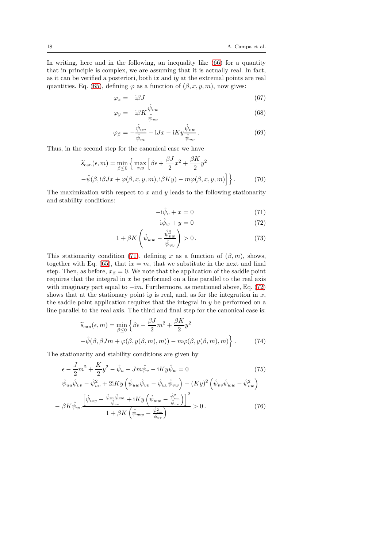In writing, here and in the following, an inequality like [\(66\)](#page-16-2) for a quantity that in principle is complex, we are assuming that it is actually real. In fact, as it can be verified a posteriori, both ix and iy at the extremal points are real quantities. Eq. [\(65\)](#page-16-2), defining  $\varphi$  as a function of  $(\beta, x, y, m)$ , now gives:

$$
\varphi_x = -\mathrm{i}\beta J \tag{67}
$$

$$
\varphi_y = -i\beta K \frac{\hat{\psi}_{vw}}{\hat{\psi}_{vv}}\tag{68}
$$

$$
\varphi_{\beta} = -\frac{\hat{\psi}_{uv}}{\hat{\psi}_{vv}} - iJx - iKy\frac{\hat{\psi}_{vw}}{\hat{\psi}_{vv}}.
$$
\n(69)

Thus, in the second step for the canonical case we have

$$
\widetilde{s}_{\text{can}}(\epsilon, m) = \min_{\beta \le 0} \left\{ \max_{x, y} \left[ \beta \epsilon + \frac{\beta J}{2} x^2 + \frac{\beta K}{2} y^2 - \hat{\psi}(\beta, \mathbf{i} \beta J x + \varphi(\beta, x, y, m), \mathbf{i} \beta K y) - m \varphi(\beta, x, y, m) \right] \right\}.
$$
\n(70)

The maximization with respect to  $x$  and  $y$  leads to the following stationarity and stability conditions:

<span id="page-17-0"></span>
$$
-i\hat{\psi}_v + x = 0 \tag{71}
$$

$$
-i\hat{\psi}_w + y = 0\tag{72}
$$

$$
1 + \beta K \left( \hat{\psi}_{ww} - \frac{\hat{\psi}_{vw}^2}{\hat{\psi}_{vv}} \right) > 0. \tag{73}
$$

This stationarity condition [\(71\)](#page-17-0), defining x as a function of  $(\beta, m)$ , shows, together with Eq. [\(65\)](#page-16-2), that ix = m, that we substitute in the next and final step. Then, as before,  $x_{\beta} = 0$ . We note that the application of the saddle point requires that the integral in  $x$  be performed on a line parallel to the real axis with imaginary part equal to  $-im.$  Furthermore, as mentioned above, Eq. [\(72\)](#page-17-0) shows that at the stationary point iy is real, and, as for the integration in  $x$ , the saddle point application requires that the integral in  $y$  be performed on a line parallel to the real axis. The third and final step for the canonical case is:

$$
\widetilde{s}_{\text{can}}(\epsilon, m) = \min_{\beta \le 0} \left\{ \beta \epsilon - \frac{\beta J}{2} m^2 + \frac{\beta K}{2} y^2 - \hat{\psi}(\beta, \beta Jm + \varphi(\beta, y(\beta, m), m)) - m\varphi(\beta, y(\beta, m), m) \right\}.
$$
\n(74)

The stationarity and stability conditions are given by

$$
\epsilon - \frac{J}{2}m^2 + \frac{K}{2}y^2 - \hat{\psi}_u - Jm\hat{\psi}_v - iKy\hat{\psi}_w = 0
$$
 (75)

$$
\hat{\psi}_{uu}\hat{\psi}_{vv} - \hat{\psi}_{uv}^2 + 2iKy\left(\hat{\psi}_{uw}\hat{\psi}_{vv} - \hat{\psi}_{uv}\hat{\psi}_{vw}\right) - (Ky)^2\left(\hat{\psi}_{vv}\hat{\psi}_{ww} - \hat{\psi}_{vw}^2\right)
$$

$$
-\beta K \hat{\psi}_{vv} \frac{\left[\hat{\psi}_{uw} - \frac{\hat{\psi}_{uv}\hat{\psi}_{vw}}{\hat{\psi}_{vv}} + iKy \left(\hat{\psi}_{ww} - \frac{\hat{\psi}_{vw}^2}{\hat{\psi}_{vv}}\right)\right]^2}{1 + \beta K \left(\hat{\psi}_{ww} - \frac{\hat{\psi}_{vw}^2}{\hat{\psi}_{vv}}\right)} > 0.
$$
\n(76)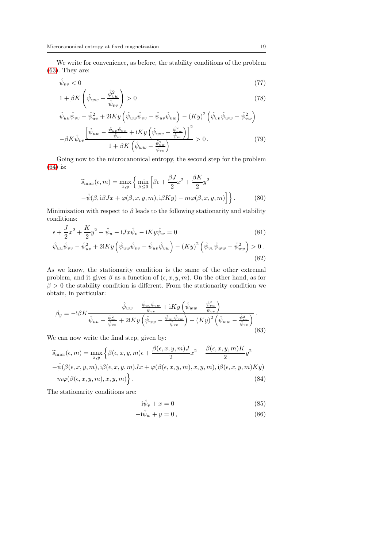We write for convenience, as before, the stability conditions of the problem [\(63\)](#page-16-0). They are:

$$
\hat{\psi}_{vv} < 0 \tag{77}
$$

$$
1 + \beta K \left(\hat{\psi}_{ww} - \frac{\hat{\psi}_{vw}^2}{\hat{\psi}_{vv}}\right) > 0 \tag{78}
$$

$$
\hat{\psi}_{uu}\hat{\psi}_{vv} - \hat{\psi}_{uv}^2 + 2iKy \left( \hat{\psi}_{uw}\hat{\psi}_{vv} - \hat{\psi}_{uv}\hat{\psi}_{vw} \right) - (Ky)^2 \left( \hat{\psi}_{vv}\hat{\psi}_{ww} - \hat{\psi}_{vw}^2 \right) \n- \beta K \hat{\psi}_{vv} \left[ \hat{\psi}_{uw} - \frac{\hat{\psi}_{uv}\hat{\psi}_{vw}}{\hat{\psi}_{vv}} + iKy \left( \hat{\psi}_{ww} - \frac{\hat{\psi}_{vw}^2}{\hat{\psi}_{vv}} \right) \right]^2 > 0.
$$
\n(79)

Going now to the microcanonical entropy, the second step for the problem [\(64\)](#page-16-1) is:

$$
\widetilde{s}_{\text{micro}}(\epsilon, m) = \max_{x, y} \left\{ \min_{\beta \le 0} \left[ \beta \epsilon + \frac{\beta J}{2} x^2 + \frac{\beta K}{2} y^2 - \hat{\psi}(\beta, \mathbf{i} \beta J x + \varphi(\beta, x, y, m), \mathbf{i} \beta K y) - m \varphi(\beta, x, y, m) \right] \right\}.
$$
\n(80)

Minimization with respect to  $\beta$  leads to the following stationarity and stability conditions:

$$
\epsilon + \frac{J}{2}x^2 + \frac{K}{2}y^2 - \hat{\psi}_u - iJx\hat{\psi}_v - iKy\hat{\psi}_w = 0
$$
\n(81)

$$
\hat{\psi}_{uu}\hat{\psi}_{vv} - \hat{\psi}_{uv}^2 + 2iKy\left(\hat{\psi}_{uw}\hat{\psi}_{vv} - \hat{\psi}_{uv}\hat{\psi}_{vw}\right) - (Ky)^2\left(\hat{\psi}_{vv}\hat{\psi}_{ww} - \hat{\psi}_{vw}^2\right) > 0\,. \tag{82}
$$

As we know, the stationarity condition is the same of the other extremal problem, and it gives  $\beta$  as a function of  $(\epsilon, x, y, m)$ . On the other hand, as for  $\beta > 0$  the stability condition is different. From the stationarity condition we obtain, in particular:

$$
\beta_y = -i\beta K \frac{\hat{\psi}_{uw} - \frac{\hat{\psi}_{uv}\hat{\psi}_{vw}}{\hat{\psi}_{vv}} + iKy \left(\hat{\psi}_{ww} - \frac{\hat{\psi}_{vw}^2}{\hat{\psi}_{vv}}\right)}{\hat{\psi}_{uu} - \frac{\hat{\psi}_{uv}^2}{\hat{\psi}_{vv}} + 2iKy \left(\hat{\psi}_{uw} - \frac{\hat{\psi}_{uv}\hat{\psi}_{vw}}{\hat{\psi}_{vv}}\right) - \left(Ky\right)^2 \left(\hat{\psi}_{ww} - \frac{\hat{\psi}_{vw}^2}{\hat{\psi}_{vv}}\right)}.
$$
\n(83)

We can now write the final step, given by:

$$
\widetilde{s}_{\text{micro}}(\epsilon, m) = \max_{x, y} \left\{ \beta(\epsilon, x, y, m)\epsilon + \frac{\beta(\epsilon, x, y, m)J}{2} x^2 + \frac{\beta(\epsilon, x, y, m)K}{2} y^2 - \hat{\psi}(\beta(\epsilon, x, y, m), i\beta(\epsilon, x, y, m)Jx + \varphi(\beta(\epsilon, x, y, m), x, y, m), i\beta(\epsilon, x, y, m)Ky) - m\varphi(\beta(\epsilon, x, y, m), x, y, m) \right\}.
$$
\n(84)

The stationarity conditions are:

$$
-i\hat{\psi}_v + x = 0 \tag{85}
$$

$$
-i\hat{\psi}_w + y = 0, \qquad (86)
$$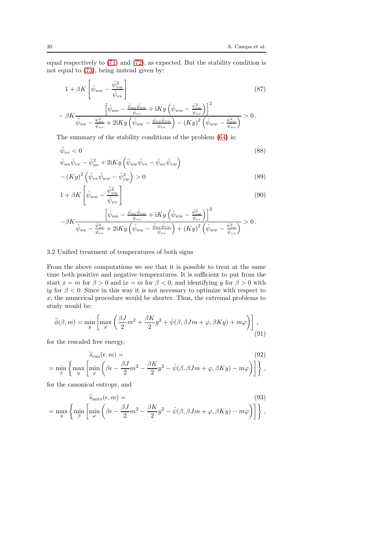equal respectively to [\(71\)](#page-17-0) and [\(72\)](#page-17-0), as expected. But the stability condition is not equal to [\(73\)](#page-17-0), being instead given by:

$$
1 + \beta K \left[ \hat{\psi}_{ww} - \frac{\hat{\psi}_{vw}^2}{\hat{\psi}_{vv}} \right]
$$
\n
$$
- \beta K \frac{\left[ \hat{\psi}_{uw} - \frac{\hat{\psi}_{uv}\hat{\psi}_{vw}}{\hat{\psi}_{vv}} + iKy \left( \hat{\psi}_{ww} - \frac{\hat{\psi}_{vw}^2}{\hat{\psi}_{vv}} \right) \right]^2}{\hat{\psi}_{uu} - \frac{\hat{\psi}_{uv}^2}{\hat{\psi}_{vv}} + 2iKy \left( \hat{\psi}_{uw} - \frac{\hat{\psi}_{uv}\hat{\psi}_{vw}}{\hat{\psi}_{vv}} \right) - (Ky)^2 \left( \hat{\psi}_{ww} - \frac{\hat{\psi}_{vw}^2}{\hat{\psi}_{vv}} \right)} > 0.
$$
\n
$$
(87)
$$

The summary of the stability conditions of the problem [\(64\)](#page-16-1) is:

$$
\hat{\psi}_{vv} < 0 \tag{88}
$$
\n
$$
\hat{\psi}_{uu}\hat{\psi}_{vv} - \hat{\psi}_{uv}^2 + 2iKy \left( \hat{\psi}_{uw}\hat{\psi}_{vv} - \hat{\psi}_{uv}\hat{\psi}_{vw} \right)
$$

$$
-(Ky)^{2}(\hat{\psi}_{vv}\hat{\psi}_{ww} - \hat{\psi}_{vw}^{2}) > 0
$$
\n(89)

$$
1 + \beta K \left[ \hat{\psi}_{ww} - \frac{\hat{\psi}_{vw}^2}{\hat{\psi}_{vv}} \right]
$$
\n(90)

$$
-\beta K \frac{\left[\hat{\psi}_{uw} - \frac{\hat{\psi}_{uv}\hat{\psi}_{vw}}{\hat{\psi}_{vv}} + iKy \left(\hat{\psi}_{ww} - \frac{\hat{\psi}_{vw}^2}{\hat{\psi}_{vv}}\right)\right]^2}{\hat{\psi}_{uu} - \frac{\hat{\psi}_{uv}^2}{\hat{\psi}_{vv}} + 2iKy \left(\hat{\psi}_{uw} - \frac{\hat{\psi}_{uv}\hat{\psi}_{vw}}{\hat{\psi}_{vv}}\right) + \left(Ky\right)^2 \left(\hat{\psi}_{ww} - \frac{\hat{\psi}_{vw}^2}{\hat{\psi}_{vv}}\right)} > 0.
$$

# 3.2 Unified treatment of temperatures of both signs

From the above computations we see that it is possible to treat at the same time both positive and negative temperatures. It is sufficient to put from the start  $x = m$  for  $\beta > 0$  and  $ix = m$  for  $\beta < 0$ , and identifying y for  $\beta > 0$  with iy for  $\beta < 0$ . Since in this way it is not necessary to optimize with respect to  $x$ , the numerical procedure would be shorter. Thus, the extremal problems to study would be:

<span id="page-19-2"></span>
$$
\widetilde{\phi}(\beta, m) = \min_{y} \left[ \max_{\varphi} \left( \frac{\beta J}{2} m^2 + \frac{\beta K}{2} y^2 + \hat{\psi}(\beta, \beta J m + \varphi, \beta K y) + m \varphi \right) \right],
$$
\n(91)

for the rescaled free energy,

<span id="page-19-0"></span>
$$
\widetilde{s}_{\text{can}}(\epsilon, m) =
$$
  
= 
$$
\min_{\beta} \left\{ \max_{y} \left[ \min_{\varphi} \left( \beta \epsilon - \frac{\beta J}{2} m^2 - \frac{\beta K}{2} y^2 - \hat{\psi}(\beta, \beta J m + \varphi, \beta K y) - m \varphi \right) \right] \right\},
$$
 (92)

for the canonical entropy, and

<span id="page-19-1"></span>
$$
\widetilde{s}_{\text{micro}}(\epsilon, m) =
$$
\n
$$
= \max_{y} \left\{ \min_{\beta} \left[ \min_{\varphi} \left( \beta \epsilon - \frac{\beta J}{2} m^{2} - \frac{\beta K}{2} y^{2} - \hat{\psi}(\beta, \beta J m + \varphi, \beta K y) - m \varphi \right) \right] \right\},
$$
\n(93)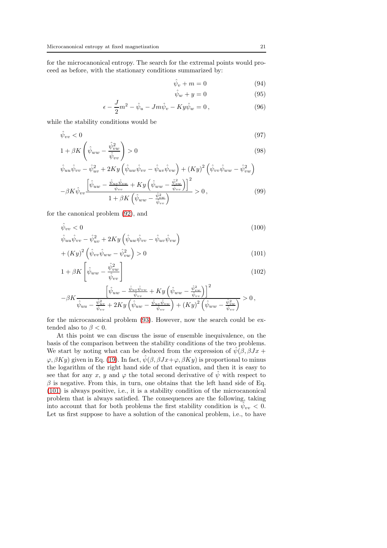for the microcanonical entropy. The search for the extremal points would proceed as before, with the stationary conditions summarized by:

<span id="page-20-2"></span>
$$
\hat{\psi}_v + m = 0 \tag{94}
$$

$$
\hat{\psi}_w + y = 0 \tag{95}
$$

$$
\epsilon - \frac{J}{2}m^2 - \hat{\psi}_u - Jm\hat{\psi}_v - Ky\hat{\psi}_w = 0, \qquad (96)
$$

while the stability conditions would be

<span id="page-20-1"></span>
$$
\hat{\psi}_{vv} < 0 \tag{97}
$$

$$
1 + \beta K \left(\hat{\psi}_{ww} - \frac{\hat{\psi}_{vw}^2}{\hat{\psi}_{vv}}\right) > 0 \tag{98}
$$

$$
\hat{\psi}_{uu}\hat{\psi}_{vv} - \hat{\psi}_{uv}^2 + 2Ky\left(\hat{\psi}_{uw}\hat{\psi}_{vv} - \hat{\psi}_{uv}\hat{\psi}_{vw}\right) + (Ky)^2\left(\hat{\psi}_{vv}\hat{\psi}_{ww} - \hat{\psi}_{vw}^2\right) \n- \beta K \hat{\psi}_{vv} \left[\hat{\psi}_{uw} - \frac{\hat{\psi}_{uv}\hat{\psi}_{vw}}{\hat{\psi}_{vv}} + Ky\left(\hat{\psi}_{ww} - \frac{\hat{\psi}_{vw}^2}{\hat{\psi}_{vv}}\right)\right]^2 > 0, \qquad (99)
$$

for the canonical problem [\(92\)](#page-19-0), and

<span id="page-20-0"></span>
$$
\hat{\psi}_{vv} < 0 \tag{100}
$$
\n
$$
\hat{\psi}_{uu}\hat{\psi}_{vv} - \hat{\psi}_{uv}^2 + 2Ky\left(\hat{\psi}_{uw}\hat{\psi}_{vv} - \hat{\psi}_{uv}\hat{\psi}_{vw}\right)
$$

$$
+(Ky)^{2}(\hat{\psi}_{vv}\hat{\psi}_{ww}-\hat{\psi}_{vw}^{2})>0
$$
\n(101)

$$
1 + \beta K \left[ \hat{\psi}_{ww} - \frac{\hat{\psi}_{vw}^2}{\hat{\psi}_{vv}} \right]
$$
 (102)

$$
-\beta K \frac{\left[\hat{\psi}_{uw} - \frac{\hat{\psi}_{uv}\hat{\psi}_{vw}}{\hat{\psi}_{vv}} + Ky\left(\hat{\psi}_{ww} - \frac{\hat{\psi}_{vw}^2}{\hat{\psi}_{vv}}\right)\right]^2}{\hat{\psi}_{uu} - \frac{\hat{\psi}_{uv}^2}{\hat{\psi}_{vv}} + 2Ky\left(\hat{\psi}_{uw} - \frac{\hat{\psi}_{uv}\hat{\psi}_{vw}}{\hat{\psi}_{vv}}\right) + (Ky)^2\left(\hat{\psi}_{ww} - \frac{\hat{\psi}_{vw}^2}{\hat{\psi}_{vv}}\right)} > 0,
$$

for the microcanonical problem [\(93\)](#page-19-1). However, now the search could be extended also to  $\beta < 0$ .

At this point we can discuss the issue of ensemble inequivalence, on the basis of the comparison between the stability conditions of the two problems. We start by noting what can be deduced from the expression of  $\psi(\beta, \beta Jx +$  $\varphi$ ,  $\beta K y$ ) given in Eq. [\(19\)](#page-8-2). In fact,  $\hat{\psi}(\beta, \beta Jx+\varphi, \beta K y)$  is proportional to minus the logarithm of the right hand side of that equation, and then it is easy to see that for any x, y and  $\varphi$  the total second derivative of  $\hat{\psi}$  with respect to  $\beta$  is negative. From this, in turn, one obtains that the left hand side of Eq. [\(101\)](#page-20-0) is always positive, i.e., it is a stability condition of the microcanonical problem that is always satisfied. The consequences are the following, taking into account that for both problems the first stability condition is  $\hat{\psi}_{vv} < 0$ . Let us first suppose to have a solution of the canonical problem, i.e., to have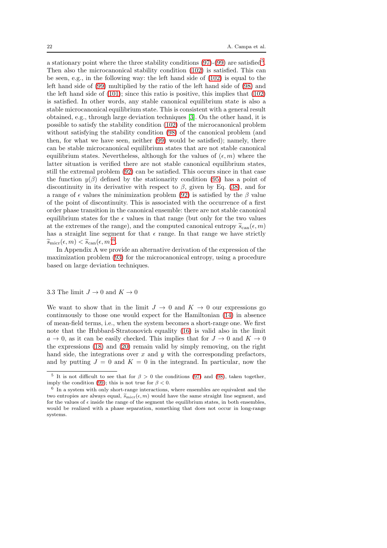a stationary point where the three stability conditions  $(97)-(99)$  $(97)-(99)$  are satisfied<sup>[5](#page-21-0)</sup>. Then also the microcanonical stability condition [\(102\)](#page-20-0) is satisfied. This can be seen, e.g., in the following way: the left hand side of  $(102)$  is equal to the left hand side of [\(99\)](#page-20-1) multiplied by the ratio of the left hand side of [\(98\)](#page-20-1) and the left hand side of [\(101\)](#page-20-0); since this ratio is positive, this implies that [\(102\)](#page-20-0) is satisfied. In other words, any stable canonical equilibrium state is also a stable microcanonical equilibrium state. This is consistent with a general result obtained, e.g., through large deviation techniques [\[3\]](#page-40-0). On the other hand, it is possible to satisfy the stability condition [\(102\)](#page-20-0) of the microcanonical problem without satisfying the stability condition [\(98\)](#page-20-1) of the canonical problem (and then, for what we have seen, neither [\(99\)](#page-20-1) would be satisfied); namely, there can be stable microcanonical equilibrium states that are not stable canonical equilibrium states. Nevertheless, although for the values of  $(\epsilon, m)$  where the latter situation is verified there are not stable canonical equilibrium states, still the extremal problem [\(92\)](#page-19-0) can be satisfied. This occurs since in that case the function  $y(\beta)$  defined by the stationarity condition [\(95\)](#page-20-2) has a point of discontinuity in its derivative with respect to  $\beta$ , given by Eq. [\(38\)](#page-12-0), and for a range of  $\epsilon$  values the minimization problem [\(92\)](#page-19-0) is satisfied by the  $\beta$  value of the point of discontinuity. This is associated with the occurrence of a first order phase transition in the canonical ensemble: there are not stable canonical equilibrium states for the  $\epsilon$  values in that range (but only for the two values at the extremes of the range), and the computed canonical entropy  $\widetilde{s}_{can}(\epsilon, m)$ has a straight line segment for that  $\epsilon$  range. In that range we have strictly  $\widetilde{s}_{\text{micro}}(\epsilon, m) < \widetilde{s}_{\text{can}}(\epsilon, m)^6.$  $\widetilde{s}_{\text{micro}}(\epsilon, m) < \widetilde{s}_{\text{can}}(\epsilon, m)^6.$  $\widetilde{s}_{\text{micro}}(\epsilon, m) < \widetilde{s}_{\text{can}}(\epsilon, m)^6.$ 

In Appendix A we provide an alternative derivation of the expression of the maximization problem [\(93\)](#page-19-1) for the microcanonical entropy, using a procedure based on large deviation techniques.

#### 3.3 The limit  $J \to 0$  and  $K \to 0$

We want to show that in the limit  $J \to 0$  and  $K \to 0$  our expressions go continuously to those one would expect for the Hamiltonian [\(14\)](#page-7-2) in absence of mean-field terms, i.e., when the system becomes a short-range one. We first note that the Hubbard-Stratonovich equality [\(16\)](#page-7-3) is valid also in the limit  $a \to 0$ , as it can be easily checked. This implies that for  $J \to 0$  and  $K \to 0$ the expressions  $(18)$  and  $(20)$  remain valid by simply removing, on the right hand side, the integrations over x and  $y$  with the corresponding prefactors, and by putting  $J = 0$  and  $K = 0$  in the integrand. In particular, now the

<span id="page-21-0"></span><sup>&</sup>lt;sup>5</sup> It is not difficult to see that for  $\beta > 0$  the conditions [\(97\)](#page-20-1) and [\(98\)](#page-20-1), taken together, imply the condition [\(99\)](#page-20-1); this is not true for  $\beta < 0$ .

<span id="page-21-1"></span> $6$  In a system with only short-range interactions, where ensembles are equivalent and the two entropies are always equal,  $\widetilde{s}_{\text{micro}}(\epsilon, m)$  would have the same straight line segment, and for the values of  $\epsilon$  inside the range of the segment the equilibrium states, in both ensembles, would be realized with a phase separation, something that does not occur in long-range systems.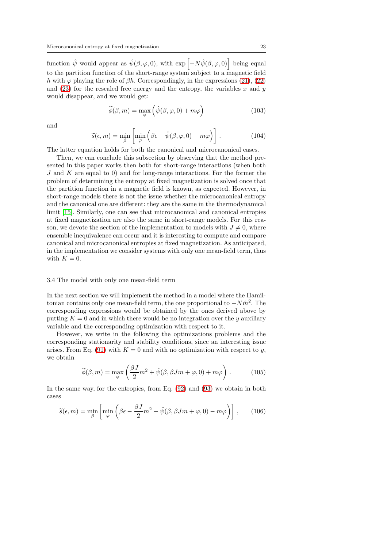function  $\hat{\psi}$  would appear as  $\hat{\psi}(\beta, \varphi, 0)$ , with  $\exp\left[-N\hat{\psi}(\beta, \varphi, 0)\right]$  being equal to the partition function of the short-range system subject to a magnetic field h with  $\varphi$  playing the role of  $\beta h$ . Correspondingly, in the expressions [\(21\)](#page-9-2), [\(22\)](#page-10-0) and  $(23)$  for the rescaled free energy and the entropy, the variables x and y would disappear, and we would get:

$$
\widetilde{\phi}(\beta, m) = \max_{\varphi} \left( \hat{\psi}(\beta, \varphi, 0) + m\varphi \right)
$$
\n(103)

and

$$
\widetilde{s}(\epsilon, m) = \min_{\beta} \left[ \min_{\varphi} \left( \beta \epsilon - \hat{\psi}(\beta, \varphi, 0) - m\varphi \right) \right]. \tag{104}
$$

The latter equation holds for both the canonical and microcanonical cases.

Then, we can conclude this subsection by observing that the method presented in this paper works then both for short-range interactions (when both J and K are equal to 0) and for long-range interactions. For the former the problem of determining the entropy at fixed magnetization is solved once that the partition function in a magnetic field is known, as expected. However, in short-range models there is not the issue whether the microcanonical entropy and the canonical one are different: they are the same in the thermodynamical limit [\[15\]](#page-40-11). Similarly, one can see that microcanonical and canonical entropies at fixed magnetization are also the same in short-range models. For this reason, we devote the section of the implementation to models with  $J \neq 0$ , where ensemble inequivalence can occur and it is interesting to compute and compare canonical and microcanonical entropies at fixed magnetization. As anticipated, in the implementation we consider systems with only one mean-field term, thus with  $K = 0$ .

#### 3.4 The model with only one mean-field term

In the next section we will implement the method in a model where the Hamiltonian contains only one mean-field term, the one proportional to  $-N\hat{m}^2$ . The corresponding expressions would be obtained by the ones derived above by putting  $K = 0$  and in which there would be no integration over the y auxiliary variable and the corresponding optimization with respect to it.

However, we write in the following the optimizations problems and the corresponding stationarity and stability conditions, since an interesting issue arises. From Eq. [\(91\)](#page-19-2) with  $K = 0$  and with no optimization with respect to y, we obtain

$$
\widetilde{\phi}(\beta, m) = \max_{\varphi} \left( \frac{\beta J}{2} m^2 + \hat{\psi}(\beta, \beta J m + \varphi, 0) + m\varphi \right). \tag{105}
$$

In the same way, for the entropies, from Eq. [\(92\)](#page-19-0) and [\(93\)](#page-19-1) we obtain in both cases

<span id="page-22-0"></span>
$$
\widetilde{s}(\epsilon, m) = \min_{\beta} \left[ \min_{\varphi} \left( \beta \epsilon - \frac{\beta J}{2} m^2 - \hat{\psi}(\beta, \beta J m + \varphi, 0) - m \varphi \right) \right], \qquad (106)
$$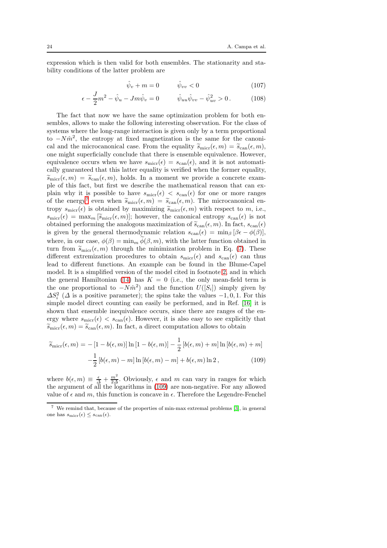expression which is then valid for both ensembles. The stationarity and stability conditions of the latter problem are

$$
\hat{\psi}_v + m = 0 \qquad \hat{\psi}_{vv} < 0 \tag{107}
$$

$$
\epsilon - \frac{J}{2}m^2 - \hat{\psi}_u - Jm\hat{\psi}_v = 0 \qquad \hat{\psi}_{uu}\hat{\psi}_{vv} - \hat{\psi}_{uv}^2 > 0. \qquad (108)
$$

The fact that now we have the same optimization problem for both ensembles, allows to make the following interesting observation. For the class of systems where the long-range interaction is given only by a term proportional to  $-N\hat{m}^2$ , the entropy at fixed magnetization is the same for the canonical and the microcanonical case. From the equality  $\tilde{s}_{\text{micro}}(\epsilon, m) = \tilde{s}_{\text{can}}(\epsilon, m)$ , one might superficially conclude that there is ensemble equivalence. However, equivalence occurs when we have  $s_{\text{micro}}(\epsilon) = s_{\text{can}}(\epsilon)$ , and it is not automatically guaranteed that this latter equality is verified when the former equality,  $\widetilde{s}_{\text{micro}}(\epsilon, m) = \widetilde{s}_{\text{can}}(\epsilon, m)$ , holds. In a moment we provide a concrete example of this fact, but first we describe the mathematical reason that can explain why it is possible to have  $s_{\text{micro}}(\epsilon) < s_{\text{can}}(\epsilon)$  for one or more ranges of the energy<sup>[7](#page-23-0)</sup> even when  $\widetilde{s}_{\text{micro}}(\epsilon, m) = \widetilde{s}_{\text{can}}(\epsilon, m)$ . The microcanonical entropy  $s_{\text{micro}}(\epsilon)$  is obtained by maximizing  $\widetilde{s}_{\text{micro}}(\epsilon, m)$  with respect to m, i.e.,  $s_{\text{micro}}(\epsilon) = \max_{m} |\tilde{s}_{\text{micro}}(\epsilon, m)|$ ; however, the canonical entropy  $s_{\text{can}}(\epsilon)$  is not obtained performing the analogous maximization of  $\tilde{s}_{can}(\epsilon, m)$ . In fact,  $s_{can}(\epsilon)$ is given by the general thermodynamic relation  $s_{can}(\epsilon) = \min_{\beta} [\beta \epsilon - \phi(\beta)],$ where, in our case,  $\phi(\beta) = \min_m \phi(\beta, m)$ , with the latter function obtained in turn from  $\widetilde{s}_{\text{micro}}(\epsilon, m)$  through the minimization problem in Eq. [\(7\)](#page-5-3). These different extremization procedures to obtain  $s_{\text{micro}}(\epsilon)$  and  $s_{\text{can}}(\epsilon)$  can thus lead to different functions. An example can be found in the Blume-Capel model. It is a simplified version of the model cited in footnote [2,](#page-7-0) and in which the general Hamiltonian [\(14\)](#page-7-2) has  $K = 0$  (i.e., the only mean-field term is the one proportional to  $-N\hat{m}^2$  and the function  $U([S_i])$  simply given by  $\Delta S_i^2$  ( $\Delta$  is a positive parameter); the spins take the values -1,0,1. For this simple model direct counting can easily be performed, and in Ref. [\[16\]](#page-40-12) it is shown that ensemble inequivalence occurs, since there are ranges of the energy where  $s_{\text{micro}}(\epsilon) < s_{\text{can}}(\epsilon)$ . However, it is also easy to see explicitly that  $\widetilde{s}_{\text{micro}}(\epsilon, m) = \widetilde{s}_{\text{can}}(\epsilon, m)$ . In fact, a direct computation allows to obtain

<span id="page-23-1"></span>
$$
\widetilde{s}_{\text{micro}}(\epsilon, m) = -[1 - b(\epsilon, m)] \ln [1 - b(\epsilon, m)] - \frac{1}{2} [b(\epsilon, m) + m] \ln [b(\epsilon, m) + m]
$$

$$
-\frac{1}{2} [b(\epsilon, m) - m] \ln [b(\epsilon, m) - m] + b(\epsilon, m) \ln 2, \qquad (109)
$$

where  $b(\epsilon, m) \equiv \frac{\epsilon}{\Delta} + \frac{m^2}{2\Delta}$ . Obviously,  $\epsilon$  and m can vary in ranges for which the argument of all the logarithms in [\(109\)](#page-23-1) are non-negative. For any allowed value of  $\epsilon$  and m, this function is concave in  $\epsilon$ . Therefore the Legendre-Fenchel

<span id="page-23-0"></span><sup>7</sup> We remind that, because of the properties of min-max extremal problems [\[3\]](#page-40-0), in general one has  $s_{\text{micro}}(\epsilon) \leq s_{\text{can}}(\epsilon)$ .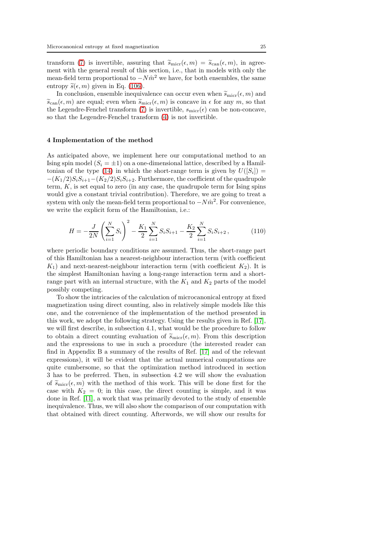transform [\(7\)](#page-5-3) is invertible, assuring that  $\tilde{s}_{\text{micro}}(\epsilon, m) = \tilde{s}_{\text{can}}(\epsilon, m)$ , in agreement with the general result of this section, i.e., that in models with only the mean-field term proportional to  $-N\hat{m}^2$  we have, for both ensembles, the same entropy  $\tilde{s}(\epsilon, m)$  given in Eq. [\(106\)](#page-22-0).

In conclusion, ensemble inequivalence can occur even when  $\widetilde{s}_{\text{micro}}(\epsilon, m)$  and  $\widetilde{s}_{\text{can}}(\epsilon, m)$  are equal; even when  $\widetilde{s}_{\text{micro}}(\epsilon, m)$  is concave in  $\epsilon$  for any m, so that the Legendre-Fenchel transform [\(7\)](#page-5-3) is invertible,  $s_{\text{micro}}(\epsilon)$  can be non-concave, so that the Legendre-Fenchel transform [\(4\)](#page-4-0) is not invertible.

## <span id="page-24-0"></span>4 Implementation of the method

As anticipated above, we implement here our computational method to an Ising spin model  $(S_i = \pm 1)$  on a one-dimensional lattice, described by a Hamil-tonian of the type [\(14\)](#page-7-2) in which the short-range term is given by  $U([S_i]) =$  $-(K_1/2)S_iS_{i+1}-(K_2/2)S_iS_{i+2}$ . Furthermore, the coefficient of the quadrupole term,  $K$ , is set equal to zero (in any case, the quadrupole term for Ising spins would give a constant trivial contribution). Therefore, we are going to treat a system with only the mean-field term proportional to  $-N\hat{m}^2$ . For convenience, we write the explicit form of the Hamiltonian, i.e.:

<span id="page-24-1"></span>
$$
H = -\frac{J}{2N} \left( \sum_{i=1}^{N} S_i \right)^2 - \frac{K_1}{2} \sum_{i=1}^{N} S_i S_{i+1} - \frac{K_2}{2} \sum_{i=1}^{N} S_i S_{i+2} , \qquad (110)
$$

where periodic boundary conditions are assumed. Thus, the short-range part of this Hamiltonian has a nearest-neighbour interaction term (with coefficient  $K_1$ ) and next-nearest-neighbour interaction term (with coefficient  $K_2$ ). It is the simplest Hamiltonian having a long-range interaction term and a shortrange part with an internal structure, with the  $K_1$  and  $K_2$  parts of the model possibly competing.

To show the intricacies of the calculation of microcanonical entropy at fixed magnetization using direct counting, also in relatively simple models like this one, and the convenience of the implementation of the method presented in this work, we adopt the following strategy. Using the results given in Ref. [\[17\]](#page-40-13), we will first describe, in subsection 4.1, what would be the procedure to follow to obtain a direct counting evaluation of  $\widetilde{s}_{\text{micro}}(\epsilon, m)$ . From this description and the expressions to use in such a procedure (the interested reader can find in Appendix B a summary of the results of Ref. [\[17\]](#page-40-13) and of the relevant expressions), it will be evident that the actual numerical computations are quite cumbersome, so that the optimization method introduced in section 3 has to be preferred. Then, in subsection 4.2 we will show the evaluation of  $\tilde{s}_{\text{micro}}(\epsilon, m)$  with the method of this work. This will be done first for the case with  $K_2 = 0$ ; in this case, the direct counting is simple, and it was done in Ref. [\[11\]](#page-40-7), a work that was primarily devoted to the study of ensemble inequivalence. Thus, we will also show the comparison of our computation with that obtained with direct counting. Afterwords, we will show our results for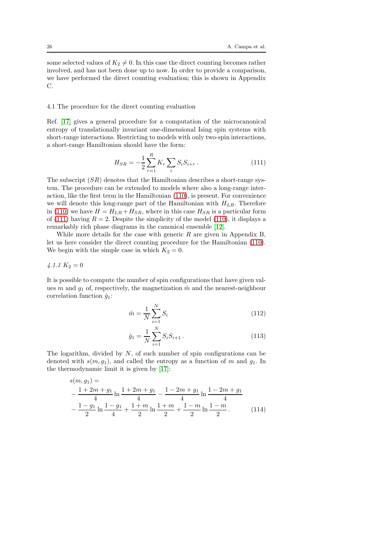some selected values of  $K_2 \neq 0$ . In this case the direct counting becomes rather involved, and has not been done up to now. In order to provide a comparison, we have performed the direct counting evaluation; this is shown in Appendix C.

## 4.1 The procedure for the direct counting evaluation

Ref. [\[17\]](#page-40-13) gives a general procedure for a computation of the microcanonical entropy of translationally invariant one-dimensional Ising spin systems with short-range interactions. Restricting to models with only two-spin interactions, a short-range Hamiltonian should have the form:

<span id="page-25-0"></span>
$$
H_{SR} = -\frac{1}{2} \sum_{r=1}^{R} K_r \sum_{i} S_i S_{i+r} . \tag{111}
$$

The subscript  $(SR)$  denotes that the Hamiltonian describes a short-range system. The procedure can be extended to models where also a long-range interaction, like the first term in the Hamiltonian [\(110\)](#page-24-1), is present. For convenience we will denote this long-range part of the Hamiltonian with  $H_{LR}$ . Therefore in [\(110\)](#page-24-1) we have  $H = H_{LR} + H_{SR}$ , where in this case  $H_{SR}$  is a particular form of [\(111\)](#page-25-0) having  $R = 2$ . Despite the simplicity of the model [\(110\)](#page-24-1), it displays a remarkably rich phase diagrams in the canonical ensemble [\[12\]](#page-40-8).

While more details for the case with generic  $R$  are given in Appendix B, let us here consider the direct counting procedure for the Hamiltonian [\(110\)](#page-24-1). We begin with the simple case in which  $K_2 = 0$ .

## <span id="page-25-2"></span> $4.1.1 K_2 = 0$

It is possible to compute the number of spin configurations that have given values m and  $g_1$  of, respectively, the magnetization  $\hat{m}$  and the nearest-neighbour correlation function  $\hat{q}_1$ :

$$
\hat{m} = \frac{1}{N} \sum_{i=1}^{N} S_i
$$
\n(112)

<span id="page-25-1"></span>
$$
\hat{g}_1 = \frac{1}{N} \sum_{i=1}^{N} S_i S_{i+1} . \tag{113}
$$

The logarithm, divided by  $N$ , of such number of spin configurations can be denoted with  $s(m, q_1)$ , and called the entropy as a function of m and  $q_1$ . In the thermodynamic limit it is given by [\[17\]](#page-40-13):

$$
s(m, g_1) =
$$
  
 
$$
-\frac{1+2m+g_1}{4}\ln\frac{1+2m+g_1}{4} - \frac{1-2m+g_1}{4}\ln\frac{1-2m+g_1}{4}
$$
  
 
$$
-\frac{1-g_1}{2}\ln\frac{1-g_1}{4} + \frac{1+m}{2}\ln\frac{1+m}{2} + \frac{1-m}{2}\ln\frac{1-m}{2}.
$$
 (114)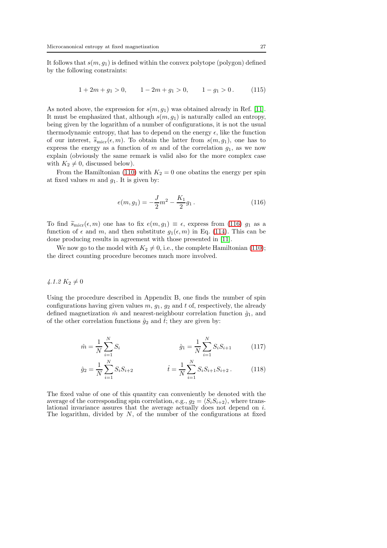It follows that  $s(m, g_1)$  is defined within the convex polytope (polygon) defined by the following constraints:

$$
1 + 2m + g_1 > 0, \qquad 1 - 2m + g_1 > 0, \qquad 1 - g_1 > 0. \tag{115}
$$

As noted above, the expression for  $s(m, g_1)$  was obtained already in Ref. [\[11\]](#page-40-7). It must be emphasized that, although  $s(m, g_1)$  is naturally called an entropy, being given by the logarithm of a number of configurations, it is not the usual thermodynamic entropy, that has to depend on the energy  $\epsilon$ , like the function of our interest,  $\widetilde{s}_{\text{micro}}(\epsilon, m)$ . To obtain the latter from  $s(m, g_1)$ , one has to express the energy as a function of  $m$  and of the correlation  $g_1$ , as we now explain (obviously the same remark is valid also for the more complex case with  $K_2 \neq 0$ , discussed below).

From the Hamiltonian [\(110\)](#page-24-1) with  $K_2 = 0$  one obatins the energy per spin at fixed values m and  $g_1$ . It is given by:

<span id="page-26-0"></span>
$$
e(m, g_1) = -\frac{J}{2}m^2 - \frac{K_1}{2}g_1.
$$
\n(116)

To find  $\widetilde{s}_{\text{micro}}(\epsilon, m)$  one has to fix  $e(m, g_1) \equiv \epsilon$ , express from [\(116\)](#page-26-0)  $g_1$  as a function of  $\epsilon$  and m, and then substitute  $g_1(\epsilon, m)$  in Eq. [\(114\)](#page-25-1). This can be done producing results in agreement with those presented in [\[11\]](#page-40-7).

We now go to the model with  $K_2 \neq 0$ , i.e., the complete Hamiltonian [\(110\)](#page-24-1); the direct counting procedure becomes much more involved.

# $4.1.2 K_2 \neq 0$

Using the procedure described in Appendix B, one finds the number of spin configurations having given values  $m, g_1, g_2$  and t of, respectively, the already defined magnetization  $\hat{m}$  and nearest-neighbour correlation function  $\hat{g}_1$ , and of the other correlation functions  $\hat{g}_2$  and  $\hat{t}$ ; they are given by:

$$
\hat{m} = \frac{1}{N} \sum_{i=1}^{N} S_i
$$
\n
$$
\hat{g}_1 = \frac{1}{N} \sum_{i=1}^{N} S_i S_{i+1}
$$
\n(117)

$$
\hat{g}_2 = \frac{1}{N} \sum_{i=1}^{N} S_i S_{i+2} \qquad \qquad \hat{t} = \frac{1}{N} \sum_{i=1}^{N} S_i S_{i+1} S_{i+2} \,. \tag{118}
$$

The fixed value of one of this quantity can conveniently be denoted with the average of the corresponding spin correlation, e.g.,  $g_2 = \langle S_i S_{i+2} \rangle$ , where translational invariance assures that the average actually does not depend on i. The logarithm, divided by  $N$ , of the number of the configurations at fixed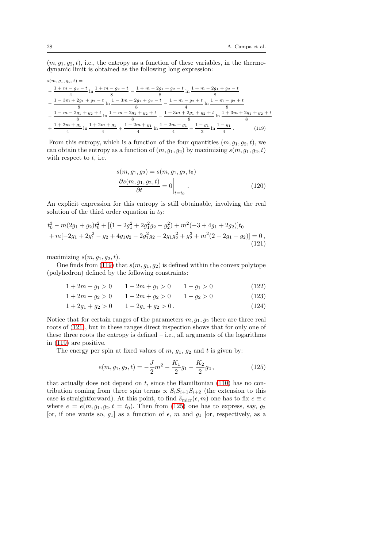$(m, g_1, g_2, t)$ , i.e., the entropy as a function of these variables, in the thermodynamic limit is obtained as the following long expression:

$$
s(m, g_1, g_2, t) =
$$
\n
$$
-\frac{1 + m - g_2 - t}{4} \ln \frac{1 + m - g_2 - t}{8} - \frac{1 + m - 2g_1 + g_2 - t}{8} \ln \frac{1 + m - 2g_1 + g_2 - t}{8}
$$
\n
$$
-\frac{1 - 3m + 2g_1 + g_2 - t}{8} \ln \frac{1 - 3m + 2g_1 + g_2 - t}{8} - \frac{1 - m - g_2 + t}{4} \ln \frac{1 - m - g_2 + t}{8}
$$
\n
$$
-\frac{1 - m - 2g_1 + g_2 + t}{8} \ln \frac{1 - m - 2g_1 + g_2 + t}{8} - \frac{1 + 3m + 2g_1 + g_2 + t}{8} \ln \frac{1 + 3m + 2g_1 + g_2 + t}{8}
$$
\n
$$
+\frac{1 + 2m + g_1}{4} \ln \frac{1 + 2m + g_1}{4} + \frac{1 - 2m + g_1}{4} \ln \frac{1 - 2m + g_1}{4} + \frac{1 - g_1}{2} \ln \frac{1 - g_1}{4}.
$$
\n(119)

From this entropy, which is a function of the four quantities  $(m, g_1, g_2, t)$ , we can obtain the entropy as a function of  $(m, g_1, g_2)$  by maximizing  $s(m, g_1, g_2, t)$ with respect to  $t$ , i.e.

<span id="page-27-3"></span><span id="page-27-1"></span><span id="page-27-0"></span>
$$
s(m, g_1, g_2) = s(m, g_1, g_2, t_0)
$$

$$
\frac{\partial s(m, g_1, g_2, t)}{\partial t} = 0 \Big|_{t=t_0}.
$$
(120)

An explicit expression for this entropy is still obtainable, involving the real solution of the third order equation in  $t_0$ :

$$
t_0^3 - m(2g_1 + g_2)t_0^2 + [(1 - 2g_1^2 + 2g_1^2g_2 - g_2^2) + m^2(-3 + 4g_1 + 2g_2)]t_0
$$
  
+ 
$$
m[-2g_1 + 2g_1^2 - g_2 + 4g_1g_2 - 2g_1^2g_2 - 2g_1g_2^2 + g_2^3 + m^2(2 - 2g_1 - g_2)] = 0,
$$
  
(121)

maximizing  $s(m, q_1, q_2, t)$ .

One finds from [\(119\)](#page-27-0) that  $s(m, g_1, g_2)$  is defined within the convex polytope (polyhedron) defined by the following constraints:

$$
1 + 2m + g_1 > 0 \t 1 - 2m + g_1 > 0 \t 1 - g_1 > 0 \t (122)
$$

$$
1 + 2m + g_2 > 0 \t 1 - 2m + g_2 > 0 \t 1 - g_2 > 0 \t (123)
$$

$$
1 + 2g_1 + g_2 > 0 \qquad 1 - 2g_1 + g_2 > 0 \,. \tag{124}
$$

Notice that for certain ranges of the parameters  $m, g_1, g_2$  there are three real roots of [\(121\)](#page-27-1), but in these ranges direct inspection shows that for only one of these three roots the entropy is defined  $-$  i.e., all arguments of the logarithms in [\(119\)](#page-27-0) are positive.

The energy per spin at fixed values of  $m$ ,  $g_1$ ,  $g_2$  and  $t$  is given by:

<span id="page-27-2"></span>
$$
e(m, g_1, g_2, t) = -\frac{J}{2}m^2 - \frac{K_1}{2}g_1 - \frac{K_2}{2}g_2, \qquad (125)
$$

that actually does not depend on  $t$ , since the Hamiltonian  $(110)$  has no contribution coming from three spin terms  $\propto S_i S_{i+1} S_{i+2}$  (the extension to this case is straightforward). At this point, to find  $\tilde{s}_{\text{micro}}(\epsilon, m)$  one has to fix  $e \equiv \epsilon$ where  $e = e(m, g_1, g_2, t = t_0)$ . Then from [\(125\)](#page-27-2) one has to express, say,  $g_2$ [or, if one wants so,  $g_1$ ] as a function of  $\epsilon$ , m and  $g_1$  [or, respectively, as a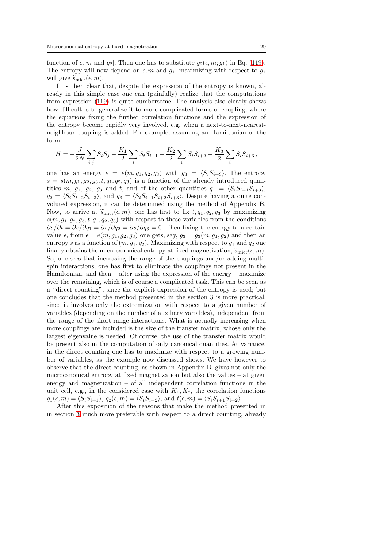function of  $\epsilon$ , m and  $g_2$ . Then one has to substitute  $g_2(\epsilon, m; g_1)$  in Eq. [\(119\)](#page-27-0). The entropy will now depend on  $\epsilon$ , m and  $g_1$ : maximizing with respect to  $g_1$ will give  $\widetilde{s}_{\text{micro}}(\epsilon, m)$ .

It is then clear that, despite the expression of the entropy is known, already in this simple case one can (painfully) realize that the computations from expression [\(119\)](#page-27-0) is quite cumbersome. The analysis also clearly shows how difficult is to generalize it to more complicated forms of coupling, where the equations fixing the further correlation functions and the expression of the entropy become rapidly very involved, e.g. when a next-to-next-nearestneighbour coupling is added. For example, assuming an Hamiltonian of the form

$$
H = -\frac{J}{2N} \sum_{i,j} S_i S_j - \frac{K_1}{2} \sum_i S_i S_{i+1} - \frac{K_2}{2} \sum_i S_i S_{i+2} - \frac{K_3}{2} \sum_i S_i S_{i+3} ,
$$

one has an energy  $e = e(m, g_1, g_2, g_3)$  with  $g_3 = \langle S_i S_{i+3} \rangle$ . The entropy  $s = s(m, g_1, g_2, g_3, t, q_1, q_2, q_3)$  is a function of the already introduced quantities m,  $g_1$ ,  $g_2$ ,  $g_3$  and t, and of the other quantities  $q_1 = \langle S_i S_{i+1} S_{i+3} \rangle$ ,  $q_2 = \langle S_i S_{i+2} S_{i+3} \rangle$ , and  $q_3 = \langle S_i S_{i+1} S_{i+2} S_{i+3} \rangle$ , Despite having a quite convoluted expression, it can be determined using the method of Appendix B. Now, to arrive at  $\widetilde{s}_{\text{micro}}(\epsilon, m)$ , one has first to fix  $t, q_1, q_2, q_3$  by maximizing  $s(m, g_1, g_2, g_3, t, q_1, q_2, q_3)$  with respect to these variables from the conditions  $\partial s/\partial t = \partial s/\partial q_1 = \partial s/\partial q_2 = \partial s/\partial q_3 = 0$ . Then fixing the energy to a certain value  $\epsilon$ , from  $\epsilon = e(m, g_1, g_2, g_3)$  one gets, say,  $g_3 = g_3(m, g_1, g_2)$  and then an entropy s as a function of  $(m, g_1, g_2)$ . Maximizing with respect to  $g_1$  and  $g_2$  one finally obtains the microcanonical entropy at fixed magnetization,  $\widetilde{s}_{\text{micro}}(\epsilon, m)$ . So, one sees that increasing the range of the couplings and/or adding multispin interactions, one has first to eliminate the couplings not present in the Hamiltonian, and then  $-$  after using the expression of the energy  $-$  maximize over the remaining, which is of course a complicated task. This can be seen as a "direct counting", since the explicit expression of the entropy is used; but one concludes that the method presented in the section 3 is more practical, since it involves only the extremization with respect to a given number of variables (depending on the number of auxiliary variables), independent from the range of the short-range interactions. What is actually increasing when more couplings are included is the size of the transfer matrix, whose only the largest eigenvalue is needed. Of course, the use of the transfer matrix would be present also in the computation of only canonical quantities. At variance, in the direct counting one has to maximize with respect to a growing number of variables, as the example now discussed shows. We have however to observe that the direct counting, as shown in Appendix B, gives not only the microcanonical entropy at fixed magnetization but also the values – at given energy and magnetization – of all independent correlation functions in the unit cell, e.g., in the considered case with  $K_1, K_2$ , the correlation functions  $g_1(\epsilon, m) = \langle S_iS_{i+1} \rangle, g_2(\epsilon, m) = \langle S_iS_{i+2} \rangle,$  and  $t(\epsilon, m) = \langle S_iS_{i+1}S_{i+2} \rangle.$ 

After this exposition of the reasons that make the method presented in in section [3](#page-6-2) much more preferable with respect to a direct counting, already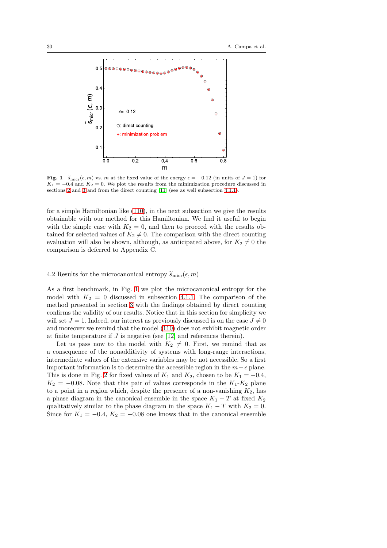

<span id="page-29-0"></span>Fig. 1  $\widetilde{s}_{\text{micro}}(\epsilon, m)$  vs. m at the fixed value of the energy  $\epsilon = -0.12$  (in units of  $J = 1$ ) for  $K_1 = -0.4$  and  $K_2 = 0$ . We plot the results from the minimization procedure discussed in sections [2](#page-3-0) and [3](#page-6-2) and from the direct counting [\[11\]](#page-40-7) (see as well subsection [4.1.1\)](#page-25-2).

for a simple Hamiltonian like [\(110\)](#page-24-1), in the next subsection we give the results obtainable with our method for this Hamiltonian. We find it useful to begin with the simple case with  $K_2 = 0$ , and then to proceed with the results obtained for selected values of  $K_2 \neq 0$ . The comparison with the direct counting evaluation will also be shown, although, as anticipated above, for  $K_2 \neq 0$  the comparison is deferred to Appendix C.

## 4.2 Results for the microcanonical entropy  $\widetilde{s}_{\text{micro}}(\epsilon, m)$

As a first benchmark, in Fig. [1](#page-29-0) we plot the microcanonical entropy for the model with  $K_2 = 0$  discussed in subsection [4.1.1.](#page-25-2) The comparison of the method presented in section [3](#page-6-2) with the findings obtained by direct counting confirms the validity of our results. Notice that in this section for simplicity we will set  $J = 1$ . Indeed, our interest as previously discussed is on the case  $J \neq 0$ and moreover we remind that the model [\(110\)](#page-24-1) does not exhibit magnetic order at finite temperature if J is negative (see [\[12\]](#page-40-8) and references therein).

Let us pass now to the model with  $K_2 \neq 0$ . First, we remind that as a consequence of the nonadditivity of systems with long-range interactions, intermediate values of the extensive variables may be not accessible. So a first important information is to determine the accessible region in the  $m-\epsilon$  plane. This is done in Fig. [2](#page-30-0) for fixed values of  $K_1$  and  $K_2$ , chosen to be  $K_1 = -0.4$ ,  $K_2 = -0.08$ . Note that this pair of values corresponds in the  $K_1$ - $K_2$  plane to a point in a region which, despite the presence of a non-vanishing  $K_2$ , has a phase diagram in the canonical ensemble in the space  $K_1 - T$  at fixed  $K_2$ qualitatively similar to the phase diagram in the space  $K_1 - T$  with  $K_2 = 0$ . Since for  $K_1 = -0.4$ ,  $K_2 = -0.08$  one knows that in the canonical ensemble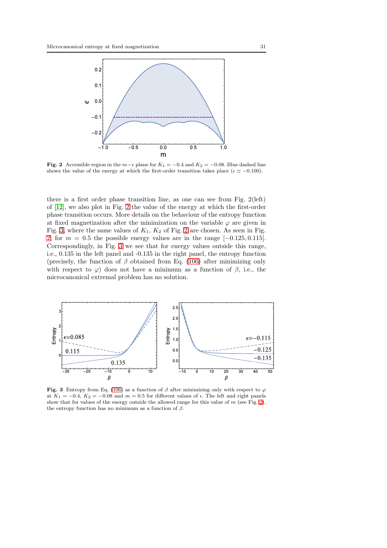

<span id="page-30-0"></span>Fig. 2 Accessible region in the  $m-\epsilon$  plane for  $K_1 = -0.4$  and  $K_2 = -0.08$ . Blue dashed line shows the value of the energy at which the first-order transition takes place ( $\epsilon \simeq -0.100$ ).

there is a first order phase transition line, as one can see from Fig. 2(left) of [\[12\]](#page-40-8), we also plot in Fig. [2](#page-30-0) the value of the energy at which the first-order phase transition occurs. More details on the behaviour of the entropy function at fixed magnetization after the minimization on the variable  $\varphi$  are given in Fig. [3,](#page-30-1) where the same values of  $K_1$ ,  $K_2$  of Fig. [2](#page-30-0) are chosen. As seen in Fig. [2,](#page-30-0) for  $m = 0.5$  the possible energy values are in the range  $[-0.125, 0.115]$ . Correspondingly, in Fig. [3](#page-30-1) we see that for energy values outside this range, i.e., 0.135 in the left panel and -0.135 in the right panel, the entropy function (precisely, the function of  $\beta$  obtained from Eq. [\(106\)](#page-22-0) after minimizing only with respect to  $\varphi$ ) does not have a minimum as a function of  $\beta$ , i.e., the microcanonical extremal problem has no solution.



<span id="page-30-1"></span>Fig. 3 Entropy from Eq. [\(106\)](#page-22-0) as a function of  $\beta$  after minimizing only with respect to  $\varphi$ at  $K_1 = -0.4$ ,  $K_2 = -0.08$  and  $m = 0.5$  for different values of  $\epsilon$ . The left and right panels show that for values of the energy outside the allowed range for this value of  $m$  (see Fig. [2\)](#page-30-0), the entropy function has no minimum as a function of  $\beta$ .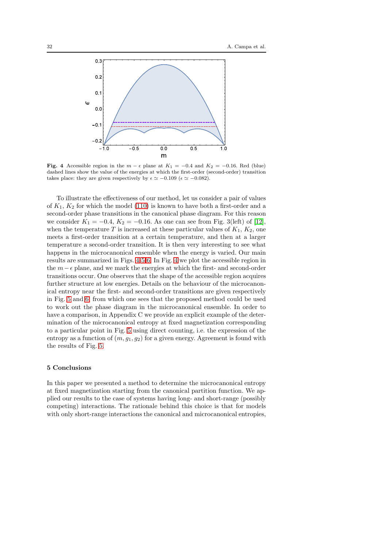

<span id="page-31-0"></span>Fig. 4 Accessible region in the  $m - \epsilon$  plane at  $K_1 = -0.4$  and  $K_2 = -0.16$ . Red (blue) dashed lines show the value of the energies at which the first-order (second-order) transition takes place: they are given respectively by  $\epsilon \simeq -0.109$  ( $\epsilon \simeq -0.082$ ).

To illustrate the effectiveness of our method, let us consider a pair of values of  $K_1, K_2$  for which the model [\(110\)](#page-24-1) is known to have both a first-order and a second-order phase transitions in the canonical phase diagram. For this reason we consider  $K_1 = -0.4, K_2 = -0.16$ . As one can see from Fig. 3(left) of [\[12\]](#page-40-8), when the temperature T is increased at these particular values of  $K_1, K_2$ , one meets a first-order transition at a certain temperature, and then at a larger temperature a second-order transition. It is then very interesting to see what happens in the microcanonical ensemble when the energy is varied. Our main results are summarized in Figs. [4](#page-31-0)[-5](#page-32-0)[-6.](#page-32-1) In Fig. [4](#page-31-0) we plot the accessible region in the  $m-\epsilon$  plane, and we mark the energies at which the first- and second-order transitions occur. One observes that the shape of the accessible region acquires further structure at low energies. Details on the behaviour of the microcanonical entropy near the first- and second-order transitions are given respectively in Fig. [5](#page-32-0) and [6,](#page-32-1) from which one sees that the proposed method could be used to work out the phase diagram in the microcanonical ensemble. In order to have a comparison, in Appendix C we provide an explicit example of the determination of the microcanonical entropy at fixed magnetization corresponding to a particular point in Fig. [5](#page-32-0) using direct counting, i.e. the expression of the entropy as a function of  $(m, g_1, g_2)$  for a given energy. Agreement is found with the results of Fig. [5.](#page-32-0)

#### 5 Conclusions

In this paper we presented a method to determine the microcanonical entropy at fixed magnetization starting from the canonical partition function. We applied our results to the case of systems having long- and short-range (possibly competing) interactions. The rationale behind this choice is that for models with only short-range interactions the canonical and microcanonical entropies,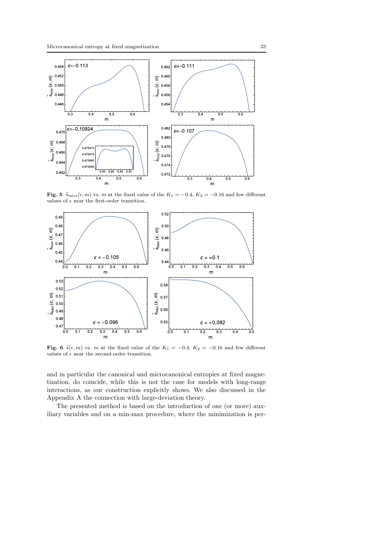

<span id="page-32-0"></span>Fig. 5  $\widetilde{s}_{\text{micro}}(\epsilon, m)$  vs. m at the fixed value of the  $K_1 = -0.4$ ,  $K_2 = -0.16$  and few different values of  $\epsilon$  near the first-order transition.



<span id="page-32-1"></span>Fig. 6  $\tilde{s}(\epsilon, m)$  vs. m at the fixed value of the  $K_1 = -0.4$ ,  $K_2 = -0.16$  and few different values of  $\epsilon$  near the second-order transition.

and in particular the canonical and microcanonical entropies at fixed magnetization, do coincide, while this is not the case for models with long-range interactions, as our construction explicitly shows. We also discussed in the Appendix A the connection with large-deviation theory.

The presented method is based on the introduction of one (or more) auxiliary variables and on a min-max procedure, where the minimization is per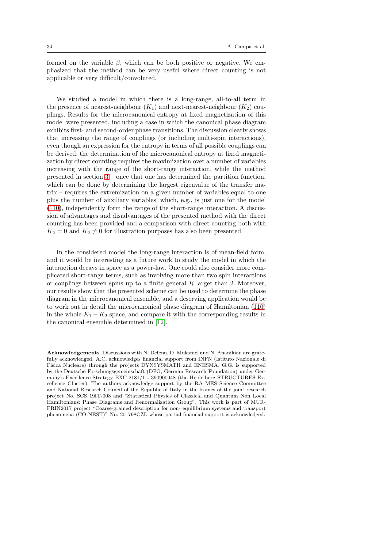formed on the variable  $\beta$ , which can be both positive or negative. We emphasized that the method can be very useful where direct counting is not applicable or very difficult/convoluted.

We studied a model in which there is a long-range, all-to-all term in the presence of nearest-neighbour  $(K_1)$  and next-nearest-neighbour  $(K_2)$  couplings. Results for the microcanonical entropy at fixed magnetization of this model were presented, including a case in which the canonical phase diagram exhibits first- and second-order phase transitions. The discussion clearly shows that increasing the range of couplings (or including multi-spin interactions), even though an expression for the entropy in terms of all possible couplings can be derived, the determination of the microcanonical entropy at fixed magnetization by direct counting requires the maximization over a number of variables increasing with the range of the short-range interaction, while the method presented in section [3](#page-6-2) – once that one has determined the partition function, which can be done by determining the largest eigenvalue of the transfer matrix – requires the extremization on a given number of variables equal to one plus the number of auxiliary variables, which, e.g., is just one for the model [\(110\)](#page-24-1), independently form the range of the short-range interaction. A discussion of advantages and disadvantages of the presented method with the direct counting has been provided and a comparison with direct counting both with  $K_2 = 0$  and  $K_2 \neq 0$  for illustration purposes has also been presented.

In the considered model the long-range interaction is of mean-field form, and it would be interesting as a future work to study the model in which the interaction decays in space as a power-law. One could also consider more complicated short-range terms, such as involving more than two spin interactions or couplings between spins up to a finite general  $R$  larger than 2. Moreover, our results show that the presented scheme can be used to determine the phase diagram in the microcanonical ensemble, and a deserving application would be to work out in detail the microcanonical phase diagram of Hamiltonian [\(110\)](#page-24-1) in the whole  $K_1 - K_2$  space, and compare it with the corresponding results in the canonical ensemble determined in [\[12\]](#page-40-8).

Acknowledgements Discussions with N. Defenu, D. Mukamel and N. Ananikian are gratefully acknowledged. A.C. acknowledges financial support from INFN (Istituto Nazionale di Fisica Nucleare) through the projects DYNSYSMATH and ENESMA. G.G. is supported by the Deutsche Forschungsgemeinschaft (DFG, German Research Foundation) under Germany's Excellence Strategy EXC 2181/1 - 390900948 (the Heidelberg STRUCTURES Excellence Cluster). The authors acknowledge support by the RA MES Science Committee and National Research Council of the Republic of Italy in the frames of the joint research project No. SCS 19IT-008 and "Statistical Physics of Classical and Quantum Non Local Hamiltonians: Phase Diagrams and Renormalization Group". This work is part of MUR-PRIN2017 project "Coarse-grained description for non- equilibrium systems and transport phenomena (CO-NEST)" No. 201798CZL whose partial financial support is acknowledged.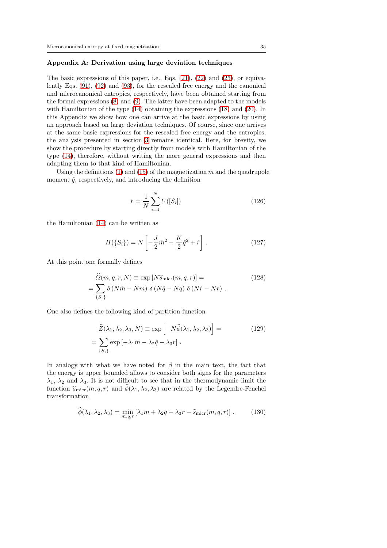## Appendix A: Derivation using large deviation techniques

The basic expressions of this paper, i.e., Eqs.  $(21)$ ,  $(22)$  and  $(23)$ , or equivalently Eqs. [\(91\)](#page-19-2), [\(92\)](#page-19-0) and [\(93\)](#page-19-1), for the rescaled free energy and the canonical and microcanonical entropies, respectively, have been obtained starting from the formal expressions [\(8\)](#page-5-1) and [\(9\)](#page-5-2). The latter have been adapted to the models with Hamiltonian of the type [\(14\)](#page-7-2) obtaining the expressions [\(18\)](#page-8-1) and [\(20\)](#page-9-1). In this Appendix we show how one can arrive at the basic expressions by using an approach based on large deviation techniques. Of course, since one arrives at the same basic expressions for the rescaled free energy and the entropies, the analysis presented in section [3](#page-6-2) remains identical. Here, for brevity, we show the procedure by starting directly from models with Hamiltonian of the type [\(14\)](#page-7-2), therefore, without writing the more general expressions and then adapting them to that kind of Hamiltonian.

Using the definitions [\(1\)](#page-4-2) and [\(15\)](#page-7-4) of the magnetization  $\hat{m}$  and the quadrupole moment  $\hat{q}$ , respectively, and introducing the definition

$$
\hat{r} = \frac{1}{N} \sum_{i=1}^{N} U([S_i])
$$
\n(126)

the Hamiltonian [\(14\)](#page-7-2) can be written as

$$
H(\{S_i\}) = N \left[ -\frac{J}{2} \hat{m}^2 - \frac{K}{2} \hat{q}^2 + \hat{r} \right].
$$
 (127)

At this point one formally defines

$$
\widehat{\Omega}(m, q, r, N) \equiv \exp[N\widehat{s}_{\text{micro}}(m, q, r)] =
$$
\n
$$
= \sum_{\{S_i\}} \delta\left(N\widehat{m} - Nm\right) \delta\left(N\widehat{q} - Nq\right) \delta\left(N\widehat{r} - Nr\right).
$$
\n(128)

One also defines the following kind of partition function

<span id="page-34-0"></span>
$$
\hat{Z}(\lambda_1, \lambda_2, \lambda_3, N) \equiv \exp\left[-N\hat{\phi}(\lambda_1, \lambda_2, \lambda_3)\right] =
$$
\n
$$
= \sum_{\{S_i\}} \exp\left[-\lambda_1 \hat{m} - \lambda_2 \hat{q} - \lambda_3 \hat{r}\right].
$$
\n(129)

In analogy with what we have noted for  $\beta$  in the main text, the fact that the energy is upper bounded allows to consider both signs for the parameters  $\lambda_1$ ,  $\lambda_2$  and  $\lambda_3$ . It is not difficult to see that in the thermodynamic limit the function  $\widehat{s}_{\text{micro}}(m, q, r)$  and  $\widehat{\phi}(\lambda_1, \lambda_2, \lambda_3)$  are related by the Legendre-Fenchel transformation

$$
\widehat{\phi}(\lambda_1, \lambda_2, \lambda_3) = \min_{m, q, r} \left[ \lambda_1 m + \lambda_2 q + \lambda_3 r - \widehat{s}_{\text{micro}}(m, q, r) \right]. \tag{130}
$$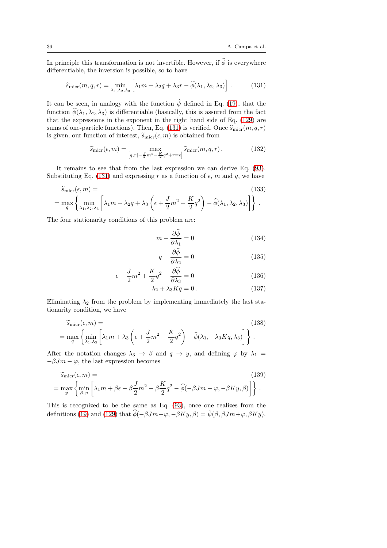In principle this transformation is not invertible. However, if  $\hat{\phi}$  is everywhere differentiable, the inversion is possible, so to have

<span id="page-35-0"></span>
$$
\widehat{s}_{\text{micro}}(m,q,r) = \min_{\lambda_1, \lambda_2, \lambda_3} \left[ \lambda_1 m + \lambda_2 q + \lambda_3 r - \widehat{\phi}(\lambda_1, \lambda_2, \lambda_3) \right]. \tag{131}
$$

It can be seen, in analogy with the function  $\hat{\psi}$  defined in Eq. [\(19\)](#page-8-2), that the function  $\hat{\phi}(\lambda_1, \lambda_2, \lambda_3)$  is differentiable (basically, this is assured from the fact that the expressions in the exponent in the right hand side of Eq. [\(129\)](#page-34-0) are sums of one-particle functions). Then, Eq. [\(131\)](#page-35-0) is verified. Once  $\widehat{s}_{\text{micro}}(m, q, r)$ is given, our function of interest,  $\widetilde{s}_{\text{micro}}(\epsilon, m)$  is obtained from

$$
\widetilde{s}_{\text{micro}}(\epsilon, m) = \max_{\left[q, r\right] - \frac{J}{2}m^2 - \frac{K}{2}q^2 + r = \epsilon \right]} \widehat{s}_{\text{micro}}(m, q, r).
$$
\n(132)

It remains to see that from the last expression we can derive Eq. [\(93\)](#page-19-1). Substituting Eq. [\(131\)](#page-35-0) and expressing r as a function of  $\epsilon$ , m and q, we have

$$
\widetilde{s}_{\text{micro}}(\epsilon, m) =
$$
\n
$$
= \max_{q} \left\{ \min_{\lambda_1, \lambda_2, \lambda_3} \left[ \lambda_1 m + \lambda_2 q + \lambda_3 \left( \epsilon + \frac{J}{2} m^2 + \frac{K}{2} q^2 \right) - \widehat{\phi}(\lambda_1, \lambda_2, \lambda_3) \right] \right\}.
$$
\n(133)

The four stationarity conditions of this problem are:

$$
m - \frac{\partial \widehat{\phi}}{\partial \lambda_1} = 0 \tag{134}
$$

$$
q - \frac{\partial \phi}{\partial \lambda_2} = 0 \tag{135}
$$

$$
\epsilon + \frac{J}{2}m^2 + \frac{K}{2}q^2 - \frac{\partial \phi}{\partial \lambda_3} = 0 \tag{136}
$$

$$
\lambda_2 + \lambda_3 Kq = 0. \tag{137}
$$

Eliminating  $\lambda_2$  from the problem by implementing immediately the last stationarity condition, we have

$$
\widetilde{s}_{\text{micro}}(\epsilon, m) =
$$
\n
$$
= \max_{q} \left\{ \min_{\lambda_1, \lambda_3} \left[ \lambda_1 m + \lambda_3 \left( \epsilon + \frac{J}{2} m^2 - \frac{K}{2} q^2 \right) - \widehat{\phi}(\lambda_1, -\lambda_3 K q, \lambda_3) \right] \right\}.
$$
\n(138)

After the notation changes  $\lambda_3 \to \beta$  and  $q \to y$ , and defining  $\varphi$  by  $\lambda_1 =$  $-\beta Jm - \varphi$ , the last expression becomes

$$
\widetilde{s}_{\text{micro}}(\epsilon, m) =
$$
\n
$$
= \max_{y} \left\{ \min_{\beta, \varphi} \left[ \lambda_1 m + \beta \epsilon - \beta \frac{J}{2} m^2 - \beta \frac{K}{2} q^2 - \widehat{\phi}(-\beta J m - \varphi, -\beta K y, \beta) \right] \right\}.
$$
\n(139)

This is recognized to be the same as Eq. [\(93\)](#page-19-1), once one realizes from the definitions [\(19\)](#page-8-2) and [\(129\)](#page-34-0) that  $\hat{\phi}(-\beta Jm-\varphi, -\beta Ky, \beta) = \hat{\psi}(\beta, \beta Jm+\varphi, \beta Ky)$ .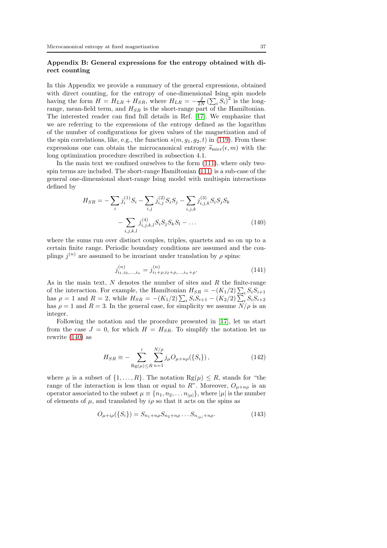# Appendix B: General expressions for the entropy obtained with direct counting

In this Appendix we provide a summary of the general expressions, obtained with direct counting, for the entropy of one-dimensional Ising spin models having the form  $H = H_{LR} + H_{SR}$ , where  $H_{LR} = -\frac{J}{2N} \left( \sum_i S_i \right)^2$  is the longrange, mean-field term, and  $H_{SR}$  is the short-range part of the Hamiltonian. The interested reader can find full details in Ref. [\[17\]](#page-40-13). We emphasize that we are referring to the expressions of the entropy defined as the logarithm of the number of configurations for given values of the magnetization and of the spin correlations, like, e.g., the function  $s(m, g_1, g_2, t)$  in [\(119\)](#page-27-0). From these expressions one can obtain the microcanonical entropy  $\tilde{s}_{\text{micro}}(\epsilon, m)$  with the long optimization procedure described in subsection 4.1.

In the main text we confined ourselves to the form [\(111\)](#page-25-0), where only twospin terms are included. The short-range Hamiltonian [\(111\)](#page-25-0) is a sub-case of the general one-dimensional short-range Ising model with multispin interactions defined by

<span id="page-36-0"></span>
$$
H_{SR} = -\sum_{i} j_i^{(1)} S_i - \sum_{i,j} j_{i,j}^{(2)} S_i S_j - \sum_{i,j,k} j_{i,j,k}^{(3)} S_i S_j S_k - \sum_{i,j,k,l} j_{i,j,k,l}^{(4)} S_i S_j S_k S_l - \dots
$$
\n(140)

where the sums run over distinct couples, triples, quartets and so on up to a certain finite range. Periodic boundary conditions are assumed and the couplings  $j^{(n)}$  are assumed to be invariant under translation by  $\rho$  spins:

$$
j_{i_1, i_2, \dots, i_n}^{(n)} = j_{i_1 + \rho, i_2 + \rho, \dots, i_n + \rho}^{(n)}.
$$
\n(141)

As in the main text,  $N$  denotes the number of sites and  $R$  the finite-range of the interaction. For example, the Hamiltonian  $H_{SR} = -(K_1/2) \sum_i S_i S_{i+1}$ has  $\rho = 1$  and  $R = 2$ , while  $H_{SR} = -(K_1/2) \sum_i S_i S_{i+1} - (K_2/2) \sum_i S_i S_{i+2}$ has  $\rho = 1$  and  $R = 3$ . In the general case, for simplicity we assume  $N/\rho$  is an integer.

Following the notation and the procedure presented in [\[17\]](#page-40-13), let us start from the case  $J = 0$ , for which  $H = H_{SR}$ . To simplify the notation let us rewrite [\(140\)](#page-36-0) as

<span id="page-36-1"></span>
$$
H_{SR} \equiv -\sum_{\text{Rg}(\mu) \le R}^{\prime} \sum_{n=1}^{N/\rho} j_{\mu} O_{\mu + n\rho}(\{S_i\}), \tag{142}
$$

where  $\mu$  is a subset of  $\{1, \ldots, R\}$ . The notation  $\text{Rg}(\mu) \leq R$ , stands for "the range of the interaction is less than or equal to R". Moreover,  $O_{\mu+n\rho}$  is an operator associated to the subset  $\mu \equiv \{n_1, n_2, \ldots n_{|\mu|}\}$ , where  $|\mu|$  is the number of elements of  $\mu$ , and translated by  $i\rho$  so that it acts on the spins as

$$
O_{\mu + i\rho}(\{S_i\}) = S_{n_1 + n\rho} S_{n_2 + n\rho} \dots S_{n_{|\mu|} + n\rho}.
$$
 (143)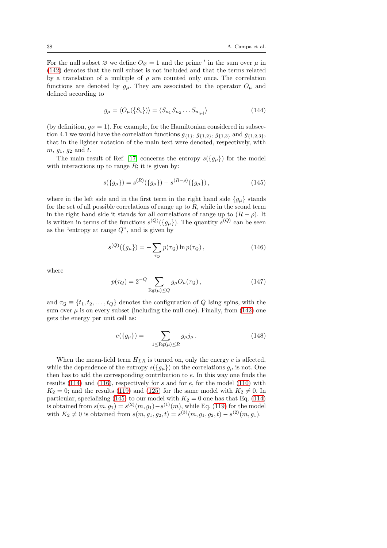For the null subset  $\emptyset$  we define  $O_{\emptyset} = 1$  and the prime ' in the sum over  $\mu$  in [\(142\)](#page-36-1) denotes that the null subset is not included and that the terms related by a translation of a multiple of  $\rho$  are counted only once. The correlation functions are denoted by  $g_{\mu}$ . They are associated to the operator  $O_{\mu}$  and defined according to

$$
g_{\mu} = \langle O_{\mu}(\{S_i\}) \rangle = \langle S_{n_1} S_{n_2} \dots S_{n_{|\mu|}} \rangle \tag{144}
$$

(by definition,  $g_{\emptyset} = 1$ ). For example, for the Hamiltonian considered in subsection 4.1 we would have the correlation functions  $g_{\{1\}}$ ,  $g_{\{1,2\}}$ ,  $g_{\{1,3\}}$  and  $g_{\{1,2,3\}}$ , that in the lighter notation of the main text were denoted, respectively, with  $m, g_1, g_2$  and  $t$ .

The main result of Ref. [\[17\]](#page-40-13) concerns the entropy  $s(\lbrace g_{\mu}\rbrace)$  for the model with interactions up to range  $R$ ; it is given by:

<span id="page-37-0"></span>
$$
s({g_{\mu}}) = s^{(R)}({g_{\mu}}) - s^{(R-\rho)}({g_{\mu}}), \qquad (145)
$$

where in the left side and in the first term in the right hand side  ${g<sub>\mu</sub>}$  stands for the set of all possible correlations of range up to  $R$ , while in the seond term in the right hand side it stands for all correlations of range up to  $(R - \rho)$ . It is written in terms of the functions  $s^{(Q)}(\lbrace g_{\mu}\rbrace)$ . The quantity  $s^{(Q)}$  can be seen as the "entropy at range  $Q$ ", and is given by

$$
s^{(Q)}(\{g_{\mu}\}) = -\sum_{\tau_Q} p(\tau_Q) \ln p(\tau_Q), \qquad (146)
$$

where

$$
p(\tau_Q) = 2^{-Q} \sum_{\mathrm{Rg}(\mu) \le Q} g_{\mu} O_{\mu}(\tau_Q), \qquad (147)
$$

and  $\tau_Q \equiv \{t_1, t_2, \ldots, t_Q\}$  denotes the configuration of Q Ising spins, with the sum over  $\mu$  is on every subset (including the null one). Finally, from [\(142\)](#page-36-1) one gets the energy per unit cell as:

$$
e({g_{\mu}}) = -\sum_{1 \le \text{Rg}(\mu) \le R} g_{\mu} j_{\mu}.
$$
 (148)

When the mean-field term  $H_{LR}$  is turned on, only the energy  $e$  is affected, while the dependence of the entropy  $s({g_\mu})$  on the correlations  $g_\mu$  is not. One then has to add the corresponding contribution to e. In this way one finds the results  $(114)$  and  $(116)$ , respectively for s and for e, for the model  $(110)$  with  $K_2 = 0$ ; and the results [\(119\)](#page-27-0) and [\(125\)](#page-27-2) for the same model with  $K_2 \neq 0$ . In particular, specializing [\(145\)](#page-37-0) to our model with  $K_2 = 0$  one has that Eq. [\(114\)](#page-25-1) is obtained from  $s(m, g_1) = s^{(2)}(m, g_1) - s^{(1)}(m)$ , while Eq. [\(119\)](#page-27-0) for the model with  $K_2 \neq 0$  is obtained from  $s(m, g_1, g_2, t) = s^{(3)}(m, g_1, g_2, t) - s^{(2)}(m, g_1)$ .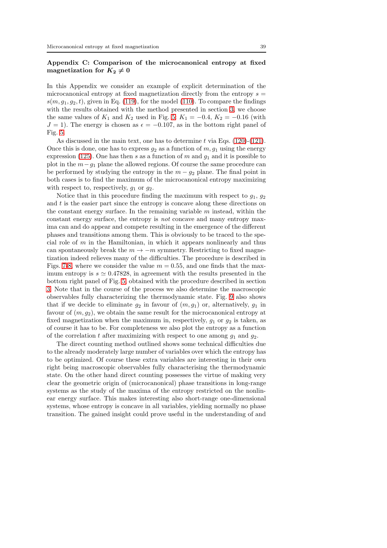# Appendix C: Comparison of the microcanonical entropy at fixed magnetization for  $K_2 \neq 0$

In this Appendix we consider an example of explicit determination of the microcanonical entropy at fixed magnetization directly from the entropy  $s =$  $s(m, g_1, g_2, t)$ , given in Eq. [\(119\)](#page-27-0), for the model [\(110\)](#page-24-1). To compare the findings with the results obtained with the method presented in section [3,](#page-6-2) we choose the same values of  $K_1$  and  $K_2$  used in Fig. [5:](#page-32-0)  $K_1 = -0.4, K_2 = -0.16$  (with  $J = 1$ ). The energy is chosen as  $\epsilon = -0.107$ , as in the bottom right panel of Fig. [5.](#page-32-0)

As discussed in the main text, one has to determine  $t$  via Eqs. [\(120\)](#page-27-3)-[\(121\)](#page-27-1). Once this is done, one has to express  $g_2$  as a function of  $m, g_1$  using the energy expression [\(125\)](#page-27-2). One has then s as a function of m and  $q_1$  and it is possible to plot in the  $m-g_1$  plane the allowed regions. Of course the same procedure can be performed by studying the entropy in the  $m - g_2$  plane. The final point in both cases is to find the maximum of the microcanonical entropy maximizing with respect to, respectively,  $g_1$  or  $g_2$ .

Notice that in this procedure finding the maximum with respect to  $g_1, g_2$ and  $t$  is the easier part since the entropy is concave along these directions on the constant energy surface. In the remaining variable  $m$  instead, within the constant energy surface, the entropy is not concave and many entropy maxima can and do appear and compete resulting in the emergence of the different phases and transitions among them. This is obviously to be traced to the special role of  $m$  in the Hamiltonian, in which it appears nonlinearly and thus can spontaneously break the  $m \to -m$  symmetry. Restricting to fixed magnetization indeed relieves many of the difficulties. The procedure is described in Figs. [7-](#page-39-2)[8,](#page-39-3) where we consider the value  $m = 0.55$ , and one finds that the maximum entropy is  $s \approx 0.47828$ , in agreement with the results presented in the bottom right panel of Fig. [5,](#page-32-0) obtained with the procedure described in section [3.](#page-6-2) Note that in the course of the process we also determine the macroscopic observables fully characterizing the thermodynamic state. Fig. [9](#page-40-14) also shows that if we decide to eliminate  $g_2$  in favour of  $(m, g_1)$  or, alternatively,  $g_1$  in favour of  $(m, g_2)$ , we obtain the same result for the microcanonical entropy at fixed magnetization when the maximum in, respectively,  $g_1$  or  $g_2$  is taken, as of course it has to be. For completeness we also plot the entropy as a function of the correlation t after maximizing with respect to one among  $g_1$  and  $g_2$ .

The direct counting method outlined shows some technical difficulties due to the already moderately large number of variables over which the entropy has to be optimized. Of course these extra variables are interesting in their own right being macroscopic observables fully characterising the thermodynamic state. On the other hand direct counting possesses the virtue of making very clear the geometric origin of (microcanonical) phase transitions in long-range systems as the study of the maxima of the entropy restricted on the nonlinear energy surface. This makes interesting also short-range one-dimensional systems, whose entropy is concave in all variables, yielding normally no phase transition. The gained insight could prove useful in the understanding of and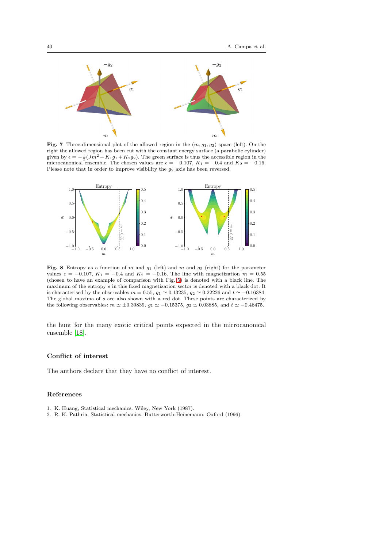

<span id="page-39-2"></span>Fig. 7 Three-dimensional plot of the allowed region in the  $(m, g_1, g_2)$  space (left). On the right the allowed region has been cut with the constant energy surface (a parabolic cylinder) given by  $\epsilon = -\frac{1}{2}(Jm^2 + K_1g_1 + K_2g_2)$ . The green surface is thus the accessible region in the microcanonical ensemble. The chosen values are  $\epsilon = -0.107$ ,  $K_1 = -0.4$  and  $K_2 = -0.16$ . Please note that in order to improve visibility the  $g_2$  axis has been reversed.



<span id="page-39-3"></span>Fig. 8 Entropy as a function of m and  $g_1$  (left) and m and  $g_2$  (right) for the parameter values  $\epsilon = -0.107$ ,  $K_1 = -0.4$  and  $K_2 = -0.16$ . The line with magnetization  $m = 0.55$ (chosen to have an example of comparison with Fig. [5\)](#page-32-0) is denoted with a black line. The maximum of the entropy s in this fixed magnetization sector is denoted with a black dot. It is characterised by the observables  $m = 0.55$ ,  $g_1 \simeq 0.13235$ ,  $g_2 \simeq 0.22226$  and  $t \simeq -0.16384$ . The global maxima of s are also shown with a red dot. These points are characterized by the following observables:  $m \approx \pm 0.39839$ ,  $g_1 \approx -0.15375$ ,  $g_2 \approx 0.03885$ , and  $t \approx -0.46475$ .

the hunt for the many exotic critical points expected in the microcanonical ensemble [\[18\]](#page-40-15).

#### Conflict of interest

The authors declare that they have no conflict of interest.

#### References

- <span id="page-39-1"></span><span id="page-39-0"></span>1. K. Huang, Statistical mechanics. Wiley, New York (1987).
- 2. R. K. Pathria, Statistical mechanics. Butterworth-Heinemann, Oxford (1996).